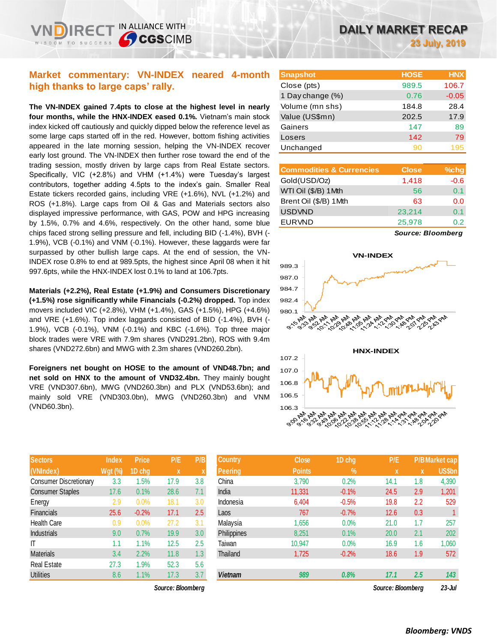# **Market commentary: VN-INDEX neared 4-month high thanks to large caps' rally.**

IN ALLIANCE WITH

**SCGSCIMB** 

**The VN-INDEX gained 7.4pts to close at the highest level in nearly four months, while the HNX-INDEX eased 0.1%.** Vietnam's main stock index kicked off cautiously and quickly dipped below the reference level as some large caps started off in the red. However, bottom fishing activities appeared in the late morning session, helping the VN-INDEX recover early lost ground. The VN-INDEX then further rose toward the end of the trading session, mostly driven by large caps from Real Estate sectors. Specifically, VIC (+2.8%) and VHM (+1.4%) were Tuesday's largest contributors, together adding 4.5pts to the index's gain. Smaller Real Estate tickers recorded gains, including VRE (+1.6%), NVL (+1.2%) and ROS (+1.8%). Large caps from Oil & Gas and Materials sectors also displayed impressive performance, with GAS, POW and HPG increasing by 1.5%, 0.7% and 4.6%, respectively. On the other hand, some blue chips faced strong selling pressure and fell, including BID (-1.4%), BVH (- 1.9%), VCB (-0.1%) and VNM (-0.1%). However, these laggards were far surpassed by other bullish large caps. At the end of session, the VN-INDEX rose 0.8% to end at 989.5pts, the highest since April 08 when it hit 997.6pts, while the HNX-INDEX lost 0.1% to land at 106.7pts.

**Materials (+2.2%), Real Estate (+1.9%) and Consumers Discretionary (+1.5%) rose significantly while Financials (-0.2%) dropped.** Top index movers included VIC (+2.8%), VHM (+1.4%), GAS (+1.5%), HPG (+4.6%) and VRE (+1.6%). Top index laggards consisted of BID (-1.4%), BVH (- 1.9%), VCB (-0.1%), VNM (-0.1%) and KBC (-1.6%). Top three major block trades were VRE with 7.9m shares (VND291.2bn), ROS with 9.4m shares (VND272.6bn) and MWG with 2.3m shares (VND260.2bn).

**Foreigners net bought on HOSE to the amount of VND48.7bn; and net sold on HNX to the amount of VND32.4bn.** They mainly bought VRE (VND307.6bn), MWG (VND260.3bn) and PLX (VND53.6bn); and mainly sold VRE (VND303.0bn), MWG (VND260.3bn) and VNM (VND60.3bn).

| <b>Sectors</b>                | <b>Index</b>   | <b>Price</b> | P/E  | P/B |
|-------------------------------|----------------|--------------|------|-----|
| (VNIndex)                     | <b>Wgt (%)</b> | 1D chg       | X    | X   |
| <b>Consumer Discretionary</b> | 3.3            | 1.5%         | 17.9 | 3.8 |
| <b>Consumer Staples</b>       | 17.6           | 0.1%         | 28.6 | 7.1 |
| Energy                        | 2.9            | 0.0%         | 18.1 | 3.0 |
| <b>Financials</b>             | 25.6           | $-0.2%$      | 17.1 | 2.5 |
| Health Care                   | 0.9            | 0.0%         | 27.2 | 3.1 |
| <b>Industrials</b>            | 9.0            | 0.7%         | 19.9 | 3.0 |
| IT                            | 1.1            | 1.1%         | 12.5 | 2.5 |
| <b>Materials</b>              | 3.4            | 2.2%         | 11.8 | 1.3 |
| <b>Real Estate</b>            | 27.3           | 1.9%         | 52.3 | 5.6 |
| <b>Utilities</b>              | 8.6            | 1.1%         | 17.3 | 3.7 |

| <b>Snapshot</b>  | <b>HOSE</b> | <b>HNX</b> |
|------------------|-------------|------------|
| Close (pts)      | 989.5       | 106.7      |
| 1 Day change (%) | 0.76        | $-0.05$    |
| Volume (mn shs)  | 184.8       | 28.4       |
| Value (US\$mn)   | 202.5       | 17.9       |
| Gainers          | 147         | 89         |
| Losers           | 142         | 79         |
| Unchanged        | 90          | 195        |

| <b>Commodities &amp; Currencies</b> | <b>Close</b> | $%$ chg |
|-------------------------------------|--------------|---------|
| Gold(USD/Oz)                        | 1,418        | $-0.6$  |
| WTI Oil (\$/B) 1Mth                 | 56           | 0.1     |
| Brent Oil (\$/B) 1Mth               | 63           | 0.0     |
| <b>USDVND</b>                       | 23,214       | 0.1     |
| <b>EURVND</b>                       | 25,978       | 0 2.    |
|                                     |              |         |

*Source: Bloomberg*



| 106.3                  |  |
|------------------------|--|
|                        |  |
| <sup>0</sup> :00 No NN |  |
|                        |  |

| <b>Sectors</b>         | <b>Index</b>   | <b>Price</b> | P/E               | P/B | <b>Country</b> | <b>Close</b>  | 1D chg  | P/E               |     | P/B Market cap |
|------------------------|----------------|--------------|-------------------|-----|----------------|---------------|---------|-------------------|-----|----------------|
| (VNIndex)              | <b>Wgt (%)</b> | 1D chg       | $\mathbf{x}$      |     | Peering        | <b>Points</b> | $\%$    | X                 | X   | <b>US\$bn</b>  |
| Consumer Discretionary | 3.3            | 1.5%         | 17.9              | 3.8 | China          | 3,790         | 0.2%    | 14.1              | 1.8 | 4,390          |
| Consumer Staples       | 17.6           | 0.1%         | 28.6              | 7.1 | India          | 11,331        | $-0.1%$ | 24.5              | 2.9 | 1,201          |
| Energy                 | 2.9            | 0.0%         | 18.1              | 3.0 | Indonesia      | 6,404         | $-0.5%$ | 19.8              | 2.2 | 529            |
| Financials             | 25.6           | $-0.2%$      | 17.1              | 2.5 | Laos           | 767           | $-0.7%$ | 12.6              | 0.3 |                |
| Health Care            | 0.9            | 0.0%         | 27.2              | 3.1 | Malaysia       | 1,656         | 0.0%    | 21.0              | 1.7 | 257            |
| Industrials            | 9.0            | 0.7%         | 19.9              | 3.0 | Philippines    | 8,251         | 0.1%    | 20.0              | 2.1 | 202            |
|                        | 1.1            | 1.1%         | 12.5              | 2.5 | Taiwan         | 10.947        | 0.0%    | 16.9              | 1.6 | 1,060          |
| Materials              | 3.4            | 2.2%         | 11.8              | 1.3 | Thailand       | 1,725         | $-0.2%$ | 18.6              | 1.9 | 572            |
| Real Estate            | 27.3           | $1.9\%$      | 52.3              | 5.6 |                |               |         |                   |     |                |
| Utilities              | 8.6            | 1.1%         | 17.3              | 3.7 | <b>Vietnam</b> | 989           | 0.8%    | 17.1              | 2.5 | 143            |
|                        |                |              | Source: Bloombera |     |                |               |         | Source: Bloombera |     | $23 -$ Jul     |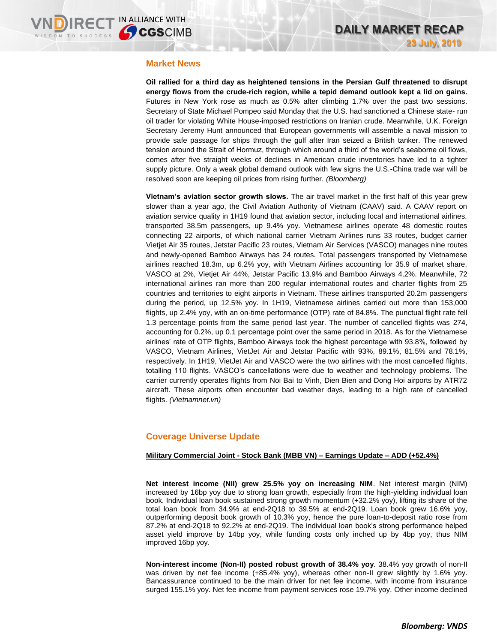## **Market News**

**Oil rallied for a third day as heightened tensions in the Persian Gulf threatened to disrupt energy flows from the crude-rich region, while a tepid demand outlook kept a lid on gains.** Futures in New York rose as much as 0.5% after climbing 1.7% over the past two sessions. Secretary of State Michael Pompeo said Monday that the U.S. had sanctioned a Chinese state- run oil trader for violating White House-imposed restrictions on Iranian crude. Meanwhile, U.K. Foreign Secretary Jeremy Hunt announced that European governments will assemble a naval mission to provide safe passage for ships through the gulf after Iran seized a British tanker. The renewed tension around the Strait of Hormuz, through which around a third of the world's seaborne oil flows, comes after five straight weeks of declines in American crude inventories have led to a tighter supply picture. Only a weak global demand outlook with few signs the U.S.-China trade war will be resolved soon are keeping oil prices from rising further. *(Bloomberg)*

**Vietnam's aviation sector growth slows.** The air travel market in the first half of this year grew slower than a year ago, the Civil Aviation Authority of Vietnam (CAAV) said. A CAAV report on aviation service quality in 1H19 found that aviation sector, including local and international airlines, transported 38.5m passengers, up 9.4% yoy. Vietnamese airlines operate 48 domestic routes connecting 22 airports, of which national carrier Vietnam Airlines runs 33 routes, budget carrier Vietjet Air 35 routes, Jetstar Pacific 23 routes, Vietnam Air Services (VASCO) manages nine routes and newly-opened Bamboo Airways has 24 routes. Total passengers transported by Vietnamese airlines reached 18.3m, up 6.2% yoy, with Vietnam Airlines accounting for 35.9 of market share, VASCO at 2%, Vietjet Air 44%, Jetstar Pacific 13.9% and Bamboo Airways 4.2%. Meanwhile, 72 international airlines ran more than 200 regular international routes and charter flights from 25 countries and territories to eight airports in Vietnam. These airlines transported 20.2m passengers during the period, up 12.5% yoy. In 1H19, Vietnamese airlines carried out more than 153,000 flights, up 2.4% yoy, with an on-time performance (OTP) rate of 84.8%. The punctual flight rate fell 1.3 percentage points from the same period last year. The number of cancelled flights was 274, accounting for 0.2%, up 0.1 percentage point over the same period in 2018. As for the Vietnamese airlines' rate of OTP flights, Bamboo Airways took the highest percentage with 93.8%, followed by VASCO, Vietnam Airlines, VietJet Air and Jetstar Pacific with 93%, 89.1%, 81.5% and 78.1%, respectively. In 1H19, VietJet Air and VASCO were the two airlines with the most cancelled flights, totalling 110 flights. VASCO's cancellations were due to weather and technology problems. The carrier currently operates flights from Noi Bai to Vinh, Dien Bien and Dong Hoi airports by ATR72 aircraft. These airports often encounter bad weather days, leading to a high rate of cancelled flights. *(Vietnamnet.vn)*

# **Coverage Universe Update**

## **Military Commercial Joint - Stock Bank (MBB VN) – Earnings Update – ADD (+52.4%)**

**Net interest income (NII) grew 25.5% yoy on increasing NIM**. Net interest margin (NIM) increased by 16bp yoy due to strong loan growth, especially from the high-yielding individual loan book. Individual loan book sustained strong growth momentum (+32.2% yoy), lifting its share of the total loan book from 34.9% at end-2Q18 to 39.5% at end-2Q19. Loan book grew 16.6% yoy, outperforming deposit book growth of 10.3% yoy, hence the pure loan-to-deposit ratio rose from 87.2% at end-2Q18 to 92.2% at end-2Q19. The individual loan book's strong performance helped asset yield improve by 14bp yoy, while funding costs only inched up by 4bp yoy, thus NIM improved 16bp yoy.

**Non-interest income (Non-II) posted robust growth of 38.4% yoy**. 38.4% yoy growth of non-II was driven by net fee income (+85.4% yoy), whereas other non-II grew slightly by 1.6% yoy. Bancassurance continued to be the main driver for net fee income, with income from insurance surged 155.1% yoy. Net fee income from payment services rose 19.7% yoy. Other income declined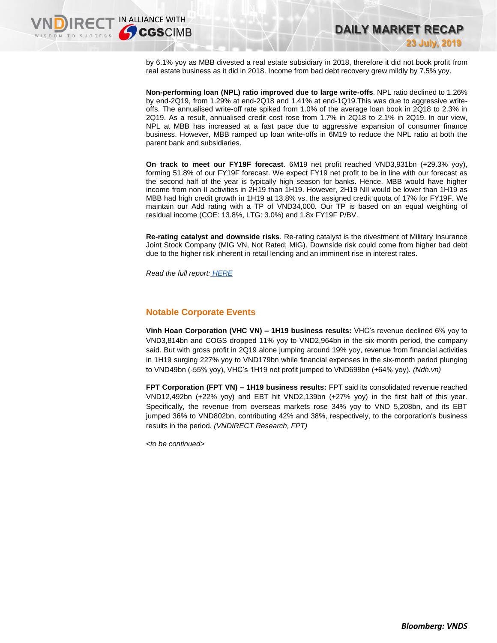by 6.1% yoy as MBB divested a real estate subsidiary in 2018, therefore it did not book profit from real estate business as it did in 2018. Income from bad debt recovery grew mildly by 7.5% yoy.

**DAILY MARKET RECAP** 

**23 July, 2019**

**Non-performing loan (NPL) ratio improved due to large write-offs**. NPL ratio declined to 1.26% by end-2Q19, from 1.29% at end-2Q18 and 1.41% at end-1Q19.This was due to aggressive writeoffs. The annualised write-off rate spiked from 1.0% of the average loan book in 2Q18 to 2.3% in 2Q19. As a result, annualised credit cost rose from 1.7% in 2Q18 to 2.1% in 2Q19. In our view, NPL at MBB has increased at a fast pace due to aggressive expansion of consumer finance business. However, MBB ramped up loan write-offs in 6M19 to reduce the NPL ratio at both the parent bank and subsidiaries.

**On track to meet our FY19F forecast**. 6M19 net profit reached VND3,931bn (+29.3% yoy), forming 51.8% of our FY19F forecast. We expect FY19 net profit to be in line with our forecast as the second half of the year is typically high season for banks. Hence, MBB would have higher income from non-II activities in 2H19 than 1H19. However, 2H19 NII would be lower than 1H19 as MBB had high credit growth in 1H19 at 13.8% vs. the assigned credit quota of 17% for FY19F. We maintain our Add rating with a TP of VND34,000. Our TP is based on an equal weighting of residual income (COE: 13.8%, LTG: 3.0%) and 1.8x FY19F P/BV.

**Re-rating catalyst and downside risks**. Re-rating catalyst is the divestment of Military Insurance Joint Stock Company (MIG VN, Not Rated; MIG). Downside risk could come from higher bad debt due to the higher risk inherent in retail lending and an imminent rise in interest rates.

*Read the full report: [HERE](https://nhanha-public-api.vndirect.com.vn/click/OGE0ODlmZDA2ODYwMjZlMjAxNjg5OGJlM2IzNDMxODU=/YTUzYjIxOGZmYzAxNDVmMDk4NGRhNmU3ODgyODc5MmE=/a53b218ffc0145f0984da6e78828792a-MBB_EarningsFlash_20190723.pdf/cmVzZWFyY2hAdm5kaXJlY3QuY29tLnZu/NTAxMw==)*

# **Notable Corporate Events**

**Vinh Hoan Corporation (VHC VN) – 1H19 business results:** VHC's revenue declined 6% yoy to VND3,814bn and COGS dropped 11% yoy to VND2,964bn in the six-month period, the company said. But with gross profit in 2Q19 alone jumping around 19% yoy, revenue from financial activities in 1H19 surging 227% yoy to VND179bn while financial expenses in the six-month period plunging to VND49bn (-55% yoy), VHC's 1H19 net profit jumped to VND699bn (+64% yoy). *(Ndh.vn)*

**FPT Corporation (FPT VN) – 1H19 business results:** FPT said its consolidated revenue reached VND12,492bn (+22% yoy) and EBT hit VND2,139bn (+27% yoy) in the first half of this year. Specifically, the revenue from overseas markets rose 34% yoy to VND 5,208bn, and its EBT jumped 36% to VND802bn, contributing 42% and 38%, respectively, to the corporation's business results in the period. *(VNDIRECT Research, FPT)*

*<to be continued>*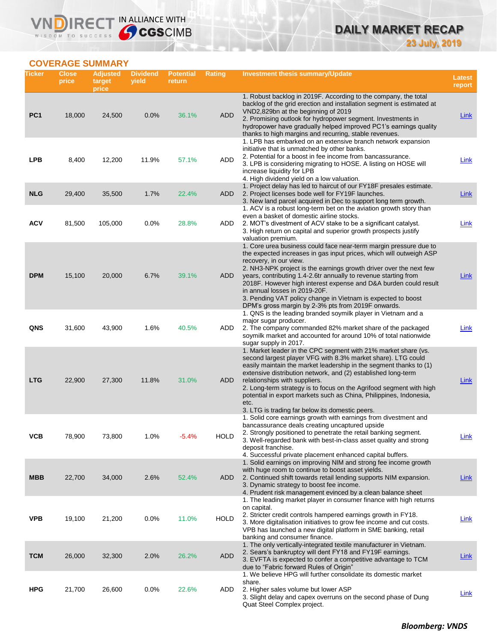# **DAILY MARKET RECAP 23 July, 2019**

# **COVERAGE SUMMARY**

WISDOM TO SUCCESS

VND

IRECT IN ALLIANCE WITH

| Ticker          | <b>Close</b><br>price | <b>Adjusted</b><br>target<br>price | <b>Dividend</b><br>yield | <b>Potential</b><br>return | <b>Rating</b> | Investment thesis summary/Update                                                                                                                                                                                                                                                                                                                                                                                                                                                                                                       | <b>Latest</b><br>report |
|-----------------|-----------------------|------------------------------------|--------------------------|----------------------------|---------------|----------------------------------------------------------------------------------------------------------------------------------------------------------------------------------------------------------------------------------------------------------------------------------------------------------------------------------------------------------------------------------------------------------------------------------------------------------------------------------------------------------------------------------------|-------------------------|
| PC <sub>1</sub> | 18,000                | 24,500                             | 0.0%                     | 36.1%                      | <b>ADD</b>    | 1. Robust backlog in 2019F. According to the company, the total<br>backlog of the grid erection and installation segment is estimated at<br>VND2,829bn at the beginning of 2019<br>2. Promising outlook for hydropower segment. Investments in<br>hydropower have gradually helped improved PC1's earnings quality<br>thanks to high margins and recurring, stable revenues.                                                                                                                                                           | <b>Link</b>             |
| <b>LPB</b>      | 8,400                 | 12,200                             | 11.9%                    | 57.1%                      | ADD           | 1. LPB has embarked on an extensive branch network expansion<br>initiative that is unmatched by other banks.<br>2. Potential for a boost in fee income from bancassurance.<br>3. LPB is considering migrating to HOSE. A listing on HOSE will<br>increase liquidity for LPB<br>4. High dividend yield on a low valuation.                                                                                                                                                                                                              | Link                    |
| <b>NLG</b>      | 29,400                | 35,500                             | 1.7%                     | 22.4%                      | <b>ADD</b>    | 1. Project delay has led to haircut of our FY18F presales estimate.<br>2. Project licenses bode well for FY19F launches.<br>3. New land parcel acquired in Dec to support long term growth.<br>1. ACV is a robust long-term bet on the aviation growth story than                                                                                                                                                                                                                                                                      | <b>Link</b>             |
| <b>ACV</b>      | 81,500                | 105,000                            | 0.0%                     | 28.8%                      | ADD           | even a basket of domestic airline stocks.<br>2. MOT's divestment of ACV stake to be a significant catalyst.<br>3. High return on capital and superior growth prospects justify<br>valuation premium.                                                                                                                                                                                                                                                                                                                                   | <b>Link</b>             |
| <b>DPM</b>      | 15,100                | 20,000                             | 6.7%                     | 39.1%                      | ADD           | 1. Core urea business could face near-term margin pressure due to<br>the expected increases in gas input prices, which will outweigh ASP<br>recovery, in our view.<br>2. NH3-NPK project is the earnings growth driver over the next few<br>years, contributing 1.4-2.6tr annually to revenue starting from<br>2018F. However high interest expense and D&A burden could result<br>in annual losses in 2019-20F.<br>3. Pending VAT policy change in Vietnam is expected to boost<br>DPM's gross margin by 2-3% pts from 2019F onwards. | Link                    |
| QNS             | 31,600                | 43,900                             | 1.6%                     | 40.5%                      | ADD           | 1. QNS is the leading branded soymilk player in Vietnam and a<br>major sugar producer.<br>2. The company commanded 82% market share of the packaged<br>soymilk market and accounted for around 10% of total nationwide<br>sugar supply in 2017.                                                                                                                                                                                                                                                                                        | Link                    |
| <b>LTG</b>      | 22,900                | 27,300                             | 11.8%                    | 31.0%                      | ADD           | 1. Market leader in the CPC segment with 21% market share (vs.<br>second largest player VFG with 8.3% market share). LTG could<br>easily maintain the market leadership in the segment thanks to (1)<br>extensive distribution network, and (2) established long-term<br>relationships with suppliers.<br>2. Long-term strategy is to focus on the Agrifood segment with high<br>potential in export markets such as China, Philippines, Indonesia,<br>etc.<br>3. LTG is trading far below its domestic peers.                         | Link                    |
| ۷СВ             | 78,900                | 73,800                             | 1.0%                     | -5.4%                      | <b>HOLD</b>   | 1. Solid core earnings growth with earnings from divestment and<br>bancassurance deals creating uncaptured upside<br>2. Strongly positioned to penetrate the retail banking segment.<br>3. Well-regarded bank with best-in-class asset quality and strong<br>deposit franchise.<br>4. Successful private placement enhanced capital buffers.                                                                                                                                                                                           | <b>Link</b>             |
| <b>MBB</b>      | 22,700                | 34,000                             | 2.6%                     | 52.4%                      | <b>ADD</b>    | 1. Solid earnings on improving NIM and strong fee income growth<br>with huge room to continue to boost asset yields.<br>2. Continued shift towards retail lending supports NIM expansion.<br>3. Dynamic strategy to boost fee income.<br>4. Prudent risk management evinced by a clean balance sheet                                                                                                                                                                                                                                   | <u>Link</u>             |
| <b>VPB</b>      | 19,100                | 21,200                             | 0.0%                     | 11.0%                      | HOLD          | 1. The leading market player in consumer finance with high returns<br>on capital.<br>2. Stricter credit controls hampered earnings growth in FY18.<br>3. More digitalisation initiatives to grow fee income and cut costs.<br>VPB has launched a new digital platform in SME banking, retail<br>banking and consumer finance.                                                                                                                                                                                                          | <u>Link</u>             |
| <b>TCM</b>      | 26,000                | 32,300                             | 2.0%                     | 26.2%                      | <b>ADD</b>    | 1. The only vertically-integrated textile manufacturer in Vietnam.<br>2. Sears's bankruptcy will dent FY18 and FY19F earnings.<br>3. EVFTA is expected to confer a competitive advantage to TCM<br>due to "Fabric forward Rules of Origin"                                                                                                                                                                                                                                                                                             | <b>Link</b>             |
| <b>HPG</b>      | 21,700                | 26,600                             | 0.0%                     | 22.6%                      | ADD           | 1. We believe HPG will further consolidate its domestic market<br>share.<br>2. Higher sales volume but lower ASP<br>3. Slight delay and capex overruns on the second phase of Dung<br>Quat Steel Complex project.                                                                                                                                                                                                                                                                                                                      | <u>Link</u>             |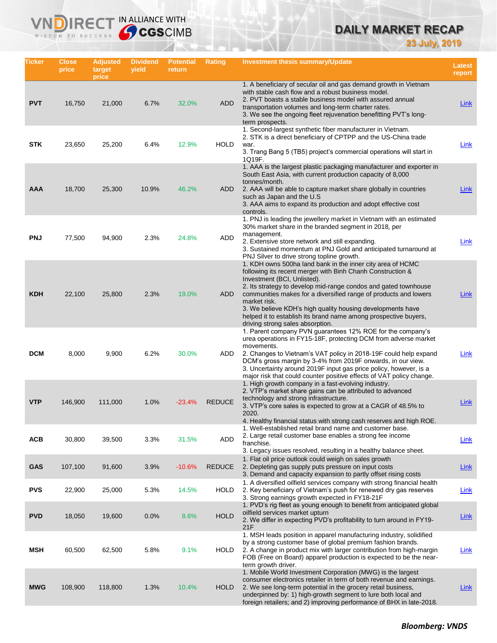# **DAILY MARKET RECAP**

**23 July, 2019**

| Ticker     | Close<br>price | <b>Adjusted</b><br>target<br>price | <b>Dividend</b><br>yield | <b>Potential</b><br>return | <b>Rating</b> | Investment thesis summary/Update                                                                                                                                                                                                                                                                                                                                                                                                                                                    | <b>Latest</b><br>report |
|------------|----------------|------------------------------------|--------------------------|----------------------------|---------------|-------------------------------------------------------------------------------------------------------------------------------------------------------------------------------------------------------------------------------------------------------------------------------------------------------------------------------------------------------------------------------------------------------------------------------------------------------------------------------------|-------------------------|
| <b>PVT</b> | 16,750         | 21,000                             | 6.7%                     | 32.0%                      | <b>ADD</b>    | 1. A beneficiary of secular oil and gas demand growth in Vietnam<br>with stable cash flow and a robust business model.<br>2. PVT boasts a stable business model with assured annual<br>transportation volumes and long-term charter rates.<br>3. We see the ongoing fleet rejuvenation benefitting PVT's long-<br>term prospects.                                                                                                                                                   | <b>Link</b>             |
| <b>STK</b> | 23,650         | 25,200                             | 6.4%                     | 12.9%                      | <b>HOLD</b>   | 1. Second-largest synthetic fiber manufacturer in Vietnam.<br>2. STK is a direct beneficiary of CPTPP and the US-China trade<br>war.<br>3. Trang Bang 5 (TB5) project's commercial operations will start in<br>1Q19F.                                                                                                                                                                                                                                                               | Link                    |
| AAA        | 18,700         | 25,300                             | 10.9%                    | 46.2%                      | <b>ADD</b>    | 1. AAA is the largest plastic packaging manufacturer and exporter in<br>South East Asia, with current production capacity of 8,000<br>tonnes/month.<br>2. AAA will be able to capture market share globally in countries<br>such as Japan and the U.S.<br>3. AAA aims to expand its production and adopt effective cost<br>controls.                                                                                                                                                | Link                    |
| <b>PNJ</b> | 77,500         | 94,900                             | 2.3%                     | 24.8%                      | ADD           | 1. PNJ is leading the jewellery market in Vietnam with an estimated<br>30% market share in the branded segment in 2018, per<br>management.<br>2. Extensive store network and still expanding.<br>3. Sustained momentum at PNJ Gold and anticipated turnaround at<br>PNJ Silver to drive strong topline growth.                                                                                                                                                                      | <b>Link</b>             |
| <b>KDH</b> | 22,100         | 25,800                             | 2.3%                     | 19.0%                      | <b>ADD</b>    | 1. KDH owns 500ha land bank in the inner city area of HCMC<br>following its recent merger with Binh Chanh Construction &<br>Investment (BCI, Unlisted).<br>2. Its strategy to develop mid-range condos and gated townhouse<br>communities makes for a diversified range of products and lowers<br>market risk.<br>3. We believe KDH's high quality housing developments have<br>helped it to establish its brand name among prospective buyers,<br>driving strong sales absorption. | Link                    |
| <b>DCM</b> | 8,000          | 9,900                              | 6.2%                     | 30.0%                      | ADD           | 1. Parent company PVN guarantees 12% ROE for the company's<br>urea operations in FY15-18F, protecting DCM from adverse market<br>movements.<br>2. Changes to Vietnam's VAT policy in 2018-19F could help expand<br>DCM's gross margin by 3-4% from 2019F onwards, in our view.<br>3. Uncertainty around 2019F input gas price policy, however, is a<br>major risk that could counter positive effects of VAT policy change.                                                         | Link                    |
| <b>VTP</b> | 146,900        | 111,000                            | 1.0%                     | $-23.4%$                   | <b>REDUCE</b> | 1. High growth company in a fast-evolving industry.<br>2. VTP's market share gains can be attributed to advanced<br>technology and strong infrastructure.<br>3. VTP's core sales is expected to grow at a CAGR of 48.5% to<br>2020.<br>4. Healthy financial status with strong cash reserves and high ROE.<br>1. Well-established retail brand name and customer base.                                                                                                              | Link                    |
| <b>ACB</b> | 30,800         | 39,500                             | 3.3%                     | 31.5%                      | ADD           | 2. Large retail customer base enables a strong fee income<br>franchise.<br>3. Legacy issues resolved, resulting in a healthy balance sheet.                                                                                                                                                                                                                                                                                                                                         | <b>Link</b>             |
| <b>GAS</b> | 107,100        | 91,600                             | 3.9%                     | $-10.6%$                   | <b>REDUCE</b> | 1. Flat oil price outlook could weigh on sales growth<br>2. Depleting gas supply puts pressure on input costs<br>3. Demand and capacity expansion to partly offset rising costs                                                                                                                                                                                                                                                                                                     | Link                    |
| <b>PVS</b> | 22,900         | 25,000                             | 5.3%                     | 14.5%                      | <b>HOLD</b>   | 1. A diversified oilfield services company with strong financial health<br>2. Key beneficiary of Vietnam's push for renewed dry gas reserves<br>3. Strong earnings growth expected in FY18-21F                                                                                                                                                                                                                                                                                      | Link                    |
| <b>PVD</b> | 18,050         | 19,600                             | 0.0%                     | 8.6%                       | <b>HOLD</b>   | 1. PVD's rig fleet as young enough to benefit from anticipated global<br>oilfield services market upturn<br>2. We differ in expecting PVD's profitability to turn around in FY19-<br>21F                                                                                                                                                                                                                                                                                            | <b>Link</b>             |
| MSH        | 60,500         | 62,500                             | 5.8%                     | 9.1%                       | <b>HOLD</b>   | 1. MSH leads position in apparel manufacturing industry, solidified<br>by a strong customer base of global premium fashion brands.<br>2. A change in product mix with larger contribution from high-margin<br>FOB (Free on Board) apparel production is expected to be the near-<br>term growth driver.                                                                                                                                                                             | <b>Link</b>             |
| <b>MWG</b> | 108,900        | 118,800                            | 1.3%                     | 10.4%                      | <b>HOLD</b>   | 1. Mobile World Investment Corporation (MWG) is the largest<br>consumer electronics retailer in term of both revenue and earnings.<br>2. We see long-term potential in the grocery retail business,<br>underpinned by: 1) high-growth segment to lure both local and<br>foreign retailers; and 2) improving performance of BHX in late-2018.                                                                                                                                        | <u>Link</u>             |

IRECT IN ALLIANCE WITH

VND

WISDOM TO SUCCESS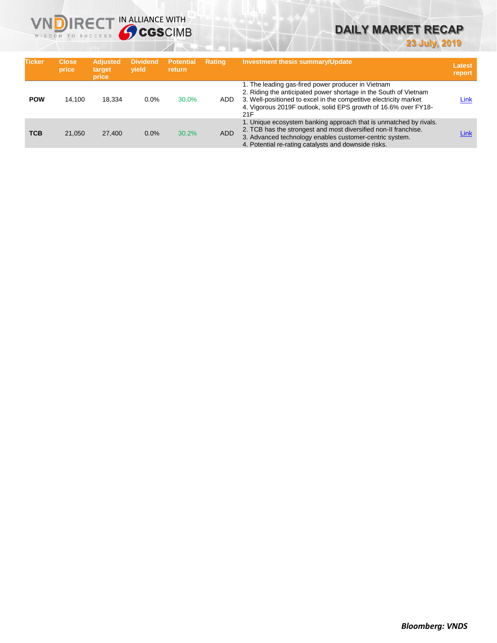

# **DAILY MARKET RECAP**

**23 July, 2019**

| <b>Ticker</b> | <b>Close</b><br>price | <b>Adjusted</b><br>target<br>price | <b>Dividend</b><br>vield | <b>Potential</b><br><b>return</b> | <b>Rating</b> | <b>Investment thesis summary/Update</b>                                                                                                                                                                                                                               | Latest<br>report |
|---------------|-----------------------|------------------------------------|--------------------------|-----------------------------------|---------------|-----------------------------------------------------------------------------------------------------------------------------------------------------------------------------------------------------------------------------------------------------------------------|------------------|
| <b>POW</b>    | 14.100                | 18.334                             | 0.0%                     | 30.0%                             | ADD           | 1. The leading gas-fired power producer in Vietnam<br>2. Riding the anticipated power shortage in the South of Vietnam<br>3. Well-positioned to excel in the competitive electricity market<br>4. Vigorous 2019F outlook, solid EPS growth of 16.6% over FY18-<br>21F | Link             |
| <b>TCB</b>    | 21.050                | 27,400                             | 0.0%                     | 30.2%                             | <b>ADD</b>    | 1. Unique ecosystem banking approach that is unmatched by rivals.<br>2. TCB has the strongest and most diversified non-II franchise.<br>3. Advanced technology enables customer-centric system.<br>4. Potential re-rating catalysts and downside risks.               | Link             |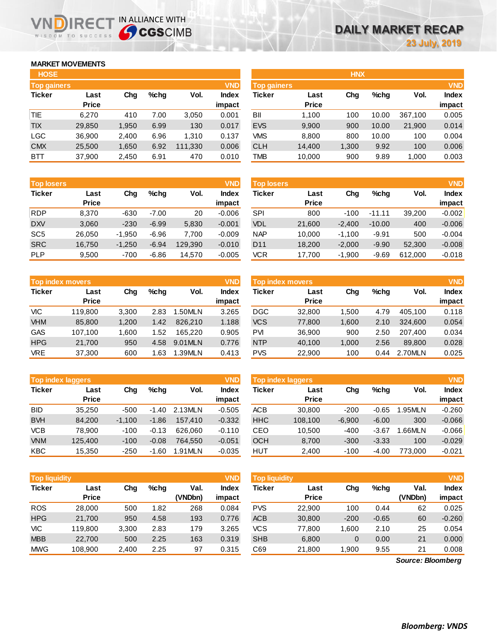## **MARKET MOVEMENTS**

WISDOM TO SUCCESS

n

|              |                    |         |         | <b>VND</b> |               |              |                    |         |            | <b>VND</b> |
|--------------|--------------------|---------|---------|------------|---------------|--------------|--------------------|---------|------------|------------|
| Last         | Chg                | $%$ chq | Vol.    | Index      | <b>Ticker</b> | Last         | Chg                | $%$ chq | Vol.       | Index      |
| <b>Price</b> |                    |         |         | impact     |               | <b>Price</b> |                    |         |            | impact     |
| 6.270        | 410                | 7.00    | 3,050   | 0.001      | BII           | 1.100        | 100                | 10.00   | 367.100    | 0.005      |
| 29,850       | 1,950              | 6.99    | 130     | 0.017      | <b>EVS</b>    | 9,900        | 900                | 10.00   | 21,900     | 0.014      |
| 36,900       | 2,400              | 6.96    | 1.310   | 0.137      | <b>VMS</b>    | 8.800        | 800                | 10.00   | 100        | 0.004      |
| 25,500       | 1,650              | 6.92    | 111,330 | 0.006      | <b>CLH</b>    | 14.400       | 1,300              | 9.92    | 100        | 0.006      |
| 37,900       | 2,450              | 6.91    | 470     | 0.010      | <b>TMB</b>    | 10,000       | 900                | 9.89    | 1,000      | 0.003      |
|              | <b>Top gainers</b> |         |         |            |               |              | <b>Top gainers</b> |         | <b>HNX</b> |            |

IRECT IN ALLIANCE WITH

| <b>Top losers</b> |              |          |         |         | <b>VND</b>   |
|-------------------|--------------|----------|---------|---------|--------------|
| <b>Ticker</b>     | Last         | Cha      | %chq    | Vol.    | <b>Index</b> |
|                   | <b>Price</b> |          |         |         | impact       |
| <b>RDP</b>        | 8.370        | $-630$   | $-7.00$ | 20      | $-0.006$     |
| <b>DXV</b>        | 3,060        | $-230$   | $-6.99$ | 5,830   | $-0.001$     |
| SC <sub>5</sub>   | 26,050       | $-1,950$ | $-6.96$ | 7,700   | $-0.009$     |
| <b>SRC</b>        | 16,750       | $-1,250$ | $-6.94$ | 129.390 | $-0.010$     |
| <b>PLP</b>        | 9,500        | $-700$   | $-6.86$ | 14,570  | $-0.005$     |

| <b>VND</b><br><b>Top index movers</b> |              |       |      |         |              |  |  |  |
|---------------------------------------|--------------|-------|------|---------|--------------|--|--|--|
| <b>Ticker</b>                         | Last         | Cha   | %chq | Vol.    | <b>Index</b> |  |  |  |
|                                       | <b>Price</b> |       |      |         | impact       |  |  |  |
| VIC                                   | 119,800      | 3,300 | 2.83 | 1.50MLN | 3.265        |  |  |  |
| <b>VHM</b>                            | 85,800       | 1,200 | 1.42 | 826.210 | 1.188        |  |  |  |
| <b>GAS</b>                            | 107,100      | 1,600 | 1.52 | 165.220 | 0.905        |  |  |  |
| <b>HPG</b>                            | 21,700       | 950   | 4.58 | 9.01MLN | 0.776        |  |  |  |
| VRE                                   | 37,300       | 600   | 1.63 | 1.39MLN | 0.413        |  |  |  |

| <b>VND</b><br><b>Top index laggers</b> |              |          |         |                      |          |  |  |  |
|----------------------------------------|--------------|----------|---------|----------------------|----------|--|--|--|
| <b>Ticker</b>                          | Last         | Cha      | %chq    | <b>Index</b><br>Vol. |          |  |  |  |
|                                        | <b>Price</b> |          |         |                      | impact   |  |  |  |
| <b>BID</b>                             | 35,250       | $-500$   | $-1.40$ | 2.13MLN              | $-0.505$ |  |  |  |
| <b>BVH</b>                             | 84,200       | $-1,100$ | $-1.86$ | 157,410              | $-0.332$ |  |  |  |
| <b>VCB</b>                             | 78.900       | $-100$   | $-0.13$ | 626.060              | $-0.110$ |  |  |  |
| <b>VNM</b>                             | 125,400      | $-100$   | $-0.08$ | 764,550              | $-0.051$ |  |  |  |
| <b>KBC</b>                             | 15,350       | $-250$   | $-1.60$ | 1.91MLN              | $-0.035$ |  |  |  |

| <b>HOSE</b>        |              |       |         |         |              |                    |              | <b>HNX</b> |         |         |              |
|--------------------|--------------|-------|---------|---------|--------------|--------------------|--------------|------------|---------|---------|--------------|
| <b>Top gainers</b> |              |       |         |         | <b>VND</b>   | <b>Top gainers</b> |              |            |         |         | <b>VND</b>   |
| Ticker             | Last         | Chg   | $%$ chq | Vol.    | <b>Index</b> | Ticker             | Last         | Chg        | $%$ chq | Vol.    | <b>Index</b> |
|                    | <b>Price</b> |       |         |         | impact       |                    | <b>Price</b> |            |         |         | impact       |
| TIE                | 6,270        | 410   | 7.00    | 3,050   | 0.001        | BII                | 1.100        | 100        | 10.00   | 367.100 | 0.005        |
| <b>TIX</b>         | 29,850       | 1,950 | 6.99    | 130     | 0.017        | <b>EVS</b>         | 9,900        | 900        | 10.00   | 21,900  | 0.014        |
| LGC                | 36,900       | 2,400 | 6.96    | 1.310   | 0.137        | VMS                | 8,800        | 800        | 10.00   | 100     | 0.004        |
| <b>CMX</b>         | 25,500       | 1,650 | 6.92    | 111,330 | 0.006        | <b>CLH</b>         | 14,400       | 1,300      | 9.92    | 100     | 0.006        |
| BTT                | 37.900       | 2.450 | 6.91    | 470     | 0.010        | TMB                | 10.000       | 900        | 9.89    | 1.000   | 0.003        |

| <b>Top losers</b> |              |          |         |         | <b>VND</b>   | <b>Top losers</b> |              |          |          |         | <b>VND</b>   |
|-------------------|--------------|----------|---------|---------|--------------|-------------------|--------------|----------|----------|---------|--------------|
| <b>Ticker</b>     | Last         | Chg      | $%$ chg | Vol.    | <b>Index</b> | Ticker            | Last         | Chg      | $%$ chq  | Vol.    | <b>Index</b> |
|                   | <b>Price</b> |          |         |         | impact       |                   | <b>Price</b> |          |          |         | impact       |
| <b>RDP</b>        | 8,370        | $-630$   | $-7.00$ | 20      | $-0.006$     | <b>SPI</b>        | 800          | $-100$   | $-11.11$ | 39,200  | $-0.002$     |
| <b>DXV</b>        | 3,060        | $-230$   | $-6.99$ | 5,830   | $-0.001$     | <b>VDL</b>        | 21,600       | $-2,400$ | $-10.00$ | 400     | $-0.006$     |
| SC <sub>5</sub>   | 26,050       | $-1,950$ | $-6.96$ | 7,700   | $-0.009$     | <b>NAP</b>        | 10,000       | $-1.100$ | $-9.91$  | 500     | $-0.004$     |
| <b>SRC</b>        | 16,750       | $-1,250$ | $-6.94$ | 129,390 | $-0.010$     | D <sub>11</sub>   | 18,200       | $-2,000$ | $-9.90$  | 52,300  | $-0.008$     |
| <b>PLP</b>        | 9,500        | $-700$   | $-6.86$ | 14,570  | $-0.005$     | <b>VCR</b>        | 17,700       | $-1,900$ | $-9.69$  | 612,000 | $-0.018$     |
|                   |              |          |         |         |              |                   |              |          |          |         |              |

| Top index movers |              |       |      |         | <b>VND</b> | <b>Top index movers</b> |              |       |         |         | <b>VND</b>   |
|------------------|--------------|-------|------|---------|------------|-------------------------|--------------|-------|---------|---------|--------------|
| Ticker           | Last         | Chg   | %chq | Vol.    | Index      | Ticker                  | Last         | Chg   | $%$ chq | Vol.    | <b>Index</b> |
|                  | <b>Price</b> |       |      |         | impact     |                         | <b>Price</b> |       |         |         | impact       |
| VIC              | 119,800      | 3.300 | 2.83 | .50MLN  | 3.265      | <b>DGC</b>              | 32,800       | 1.500 | 4.79    | 405.100 | 0.118        |
| <b>VHM</b>       | 85,800       | 1.200 | 1.42 | 826,210 | 1.188      | <b>VCS</b>              | 77,800       | 1.600 | 2.10    | 324,600 | 0.054        |
| GAS              | 107.100      | 1.600 | 1.52 | 165.220 | 0.905      | PVI                     | 36,900       | 900   | 2.50    | 207.400 | 0.034        |
| <b>HPG</b>       | 21,700       | 950   | 4.58 | 9.01MLN | 0.776      | <b>NTP</b>              | 40,100       | 1,000 | 2.56    | 89,800  | 0.028        |
| <b>VRE</b>       | 37,300       | 600   | 1.63 | 1.39MLN | 0.413      | <b>PVS</b>              | 22,900       | 100   | 0.44    | 2.70MLN | 0.025        |

| <b>Top index laggers</b> |              |          |           |          | <b>VND</b> | Top index laggers |              |          |         |         | <b>VND</b>   |
|--------------------------|--------------|----------|-----------|----------|------------|-------------------|--------------|----------|---------|---------|--------------|
| Ticker                   | Last         | Chg      | %chq      | Vol.     | Index      | Ticker            | Last         | Chg      | $%$ chq | Vol.    | <b>Index</b> |
|                          | <b>Price</b> |          |           |          | impact     |                   | <b>Price</b> |          |         |         | impact       |
| BID                      | 35.250       | $-500$   | $-1.40$   | 2.13MLN  | $-0.505$   | ACB               | 30,800       | $-200$   | $-0.65$ | .95MLN  | $-0.260$     |
| <b>BVH</b>               | 84.200       | $-1.100$ | $-1.86$   | 157.410  | $-0.332$   | <b>HHC</b>        | 108.100      | $-6.900$ | $-6.00$ | 300     | $-0.066$     |
| <b>VCB</b>               | 78.900       | $-100$   | $-0.13$   | 626,060  | $-0.110$   | CEO               | 10.500       | $-400$   | $-3.67$ | .66MLN  | $-0.066$     |
| <b>VNM</b>               | 125,400      | $-100$   | $-0.08$   | 764.550  | $-0.051$   | <b>OCH</b>        | 8,700        | $-300$   | $-3.33$ | 100     | $-0.029$     |
| KBC                      | 15.350       | $-250$   | .60<br>-1 | 1.91 MLN | $-0.035$   | HUT               | 2,400        | $-100$   | $-4.00$ | 773.000 | $-0.021$     |

| <b>Top liquidity</b> |              |       |         |         | <b>VND</b>   | <b>Top liquidity</b> |              |        |         |                   | <b>VND</b>   |
|----------------------|--------------|-------|---------|---------|--------------|----------------------|--------------|--------|---------|-------------------|--------------|
| Ticker               | Last         | Chg   | $%$ chq | Val.    | <b>Index</b> | Ticker               | Last         | Chg    | $%$ chq | Val.              | <b>Index</b> |
|                      | <b>Price</b> |       |         | (VNDbn) | impact       |                      | <b>Price</b> |        |         | (VNDbn)           | impact       |
| <b>ROS</b>           | 28,000       | 500   | 1.82    | 268     | 0.084        | <b>PVS</b>           | 22,900       | 100    | 0.44    | 62                | 0.025        |
| <b>HPG</b>           | 21,700       | 950   | 4.58    | 193     | 0.776        | <b>ACB</b>           | 30,800       | $-200$ | $-0.65$ | 60                | $-0.260$     |
| VIC                  | 119,800      | 3.300 | 2.83    | 179     | 3.265        | <b>VCS</b>           | 77.800       | 1,600  | 2.10    | 25                | 0.054        |
| <b>MBB</b>           | 22,700       | 500   | 2.25    | 163     | 0.319        | <b>SHB</b>           | 6,800        | 0      | 0.00    | 21                | 0.000        |
| <b>MWG</b>           | 108,900      | 2,400 | 2.25    | 97      | 0.315        | C69                  | 21,800       | 1,900  | 9.55    | 21                | 0.008        |
|                      |              |       |         |         |              |                      |              |        |         | Source: Bloomberg |              |

*Source: Bloomberg*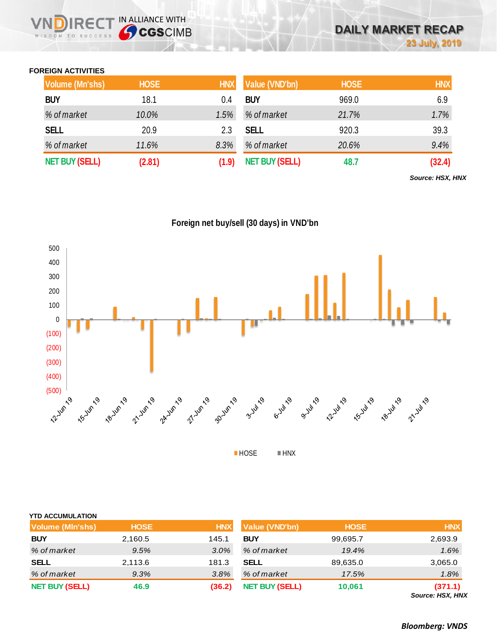## **FOREIGN ACTIVITIES**

WISDOM TO SUCCESS

**NDIRECT IN ALLIANCE WITH** 

| <b>Volume (Mn'shs)</b> | <b>HOSE</b> | <b>HNX</b> | Value (VND'bn)        | <b>HOSE</b> | <b>HNX</b> |
|------------------------|-------------|------------|-----------------------|-------------|------------|
| <b>BUY</b>             | 18.1        | 0.4        | <b>BUY</b>            | 969.0       | 6.9        |
| % of market            | 10.0%       | 1.5%       | % of market           | 21.7%       | 1.7%       |
| <b>SELL</b>            | 20.9        | 2.3        | <b>SELL</b>           | 920.3       | 39.3       |
| % of market            | 11.6%       | 8.3%       | % of market           | 20.6%       | 9.4%       |
| <b>NET BUY (SELL)</b>  | (2.81)      | (1.9)      | <b>NET BUY (SELL)</b> | 48.7        | (32.4)     |

*Source: HSX, HNX*

**Foreign net buy/sell (30 days) in VND'bn**



| <b>YTD ACCUMULATION</b> |             |            |                       |             |                             |
|-------------------------|-------------|------------|-----------------------|-------------|-----------------------------|
| <b>Volume (MIn'shs)</b> | <b>HOSE</b> | <b>HNX</b> | <b>Value (VND'bn)</b> | <b>HOSE</b> | <b>HNX</b>                  |
| <b>BUY</b>              | 2,160.5     | 145.1      | <b>BUY</b>            | 99,695.7    | 2,693.9                     |
| % of market             | 9.5%        | 3.0%       | % of market           | 19.4%       | 1.6%                        |
| <b>SELL</b>             | 2,113.6     | 181.3      | <b>SELL</b>           | 89,635.0    | 3,065.0                     |
| % of market             | 9.3%        | 3.8%       | % of market           | 17.5%       | 1.8%                        |
| <b>NET BUY (SELL)</b>   | 46.9        | (36.2)     | <b>NET BUY (SELL)</b> | 10,061      | (371.1)<br>Source: HSX, HNX |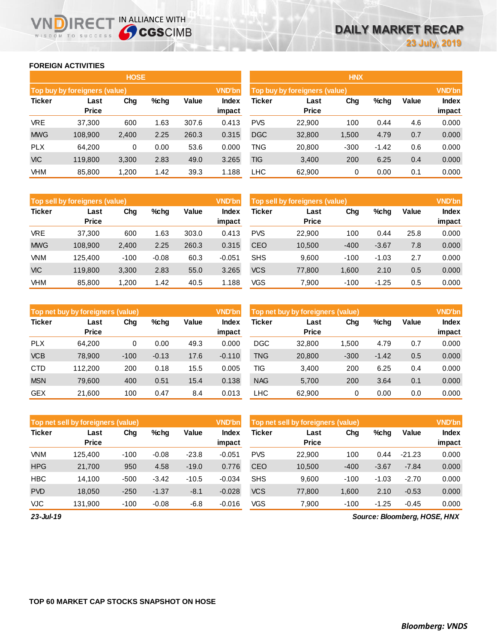## **FOREIGN ACTIVITIES**

WISDOM TO SUCCESS

n

**IRECT IN ALLIANCE WITH** 

|               |                               | <b>HOSE</b> |      |       |                        |            |                               | <b>HNX</b> |         |       |                 |
|---------------|-------------------------------|-------------|------|-------|------------------------|------------|-------------------------------|------------|---------|-------|-----------------|
|               | Top buy by foreigners (value) |             |      |       | <b>VND'bn</b>          |            | Top buy by foreigners (value) |            |         |       | <b>VND'bn</b>   |
| <b>Ticker</b> | Last<br><b>Price</b>          | Chg         | %chg | Value | <b>Index</b><br>impact | Ticker     | Last<br><b>Price</b>          | Chg        | %chg    | Value | Index<br>impact |
| <b>VRE</b>    | 37,300                        | 600         | 1.63 | 307.6 | 0.413                  | <b>PVS</b> | 22.900                        | 100        | 0.44    | 4.6   | 0.000           |
| <b>MWG</b>    | 108,900                       | 2,400       | 2.25 | 260.3 | 0.315                  | <b>DGC</b> | 32,800                        | 1,500      | 4.79    | 0.7   | 0.000           |
| <b>PLX</b>    | 64.200                        | 0           | 0.00 | 53.6  | 0.000                  | TNG        | 20,800                        | $-300$     | $-1.42$ | 0.6   | 0.000           |
| <b>VIC</b>    | 119,800                       | 3,300       | 2.83 | 49.0  | 3.265                  | TIG        | 3,400                         | 200        | 6.25    | 0.4   | 0.000           |
| <b>VHM</b>    | 85,800                        | 1,200       | 1.42 | 39.3  | 1.188                  | <b>LHC</b> | 62,900                        | 0          | 0.00    | 0.1   | 0.000           |

|               | <b>VND'bn</b><br><b>Top sell by foreigners (value)</b> |        |         |       |                 |            | Top sell by foreigners (value) |        |         |       |                 |  |
|---------------|--------------------------------------------------------|--------|---------|-------|-----------------|------------|--------------------------------|--------|---------|-------|-----------------|--|
| <b>Ticker</b> | Last<br><b>Price</b>                                   | Chg    | %chg    | Value | Index<br>impact | Ticker     | Last<br><b>Price</b>           | Chg    | %chg    | Value | Index<br>impact |  |
| <b>VRE</b>    | 37.300                                                 | 600    | 1.63    | 303.0 | 0.413           | <b>PVS</b> | 22,900                         | 100    | 0.44    | 25.8  | 0.000           |  |
| <b>MWG</b>    | 108.900                                                | 2,400  | 2.25    | 260.3 | 0.315           | <b>CEO</b> | 10,500                         | $-400$ | $-3.67$ | 7.8   | 0.000           |  |
| <b>VNM</b>    | 125.400                                                | $-100$ | $-0.08$ | 60.3  | $-0.051$        | <b>SHS</b> | 9,600                          | $-100$ | $-1.03$ | 2.7   | 0.000           |  |
| <b>VIC</b>    | 119,800                                                | 3,300  | 2.83    | 55.0  | 3.265           | <b>VCS</b> | 77,800                         | 1,600  | 2.10    | 0.5   | 0.000           |  |
| VHM           | 85,800                                                 | ,200   | 1.42    | 40.5  | 1.188           | VGS        | 7,900                          | $-100$ | $-1.25$ | 0.5   | 0.000           |  |

|               | <b>VND'bn</b><br>Top net buy by foreigners (value) |        |         |       |                 |            | Top net buy by foreigners (value) |        |         |       | <b>VND'bn</b>          |
|---------------|----------------------------------------------------|--------|---------|-------|-----------------|------------|-----------------------------------|--------|---------|-------|------------------------|
| <b>Ticker</b> | Last<br><b>Price</b>                               | Chg    | $%$ chg | Value | Index<br>impact | Ticker     | Last<br><b>Price</b>              | Chg    | %chg    | Value | <b>Index</b><br>impact |
| <b>PLX</b>    | 64.200                                             | 0      | 0.00    | 49.3  | 0.000           | <b>DGC</b> | 32,800                            | .500   | 4.79    | 0.7   | 0.000                  |
| <b>VCB</b>    | 78,900                                             | $-100$ | $-0.13$ | 17.6  | $-0.110$        | <b>TNG</b> | 20,800                            | $-300$ | $-1.42$ | 0.5   | 0.000                  |
| <b>CTD</b>    | 112,200                                            | 200    | 0.18    | 15.5  | 0.005           | TIG        | 3.400                             | 200    | 6.25    | 0.4   | 0.000                  |
| <b>MSN</b>    | 79,600                                             | 400    | 0.51    | 15.4  | 0.138           | <b>NAG</b> | 5,700                             | 200    | 3.64    | 0.1   | 0.000                  |
| <b>GEX</b>    | 21.600                                             | 100    | 0.47    | 8.4   | 0.013           | <b>LHC</b> | 62.900                            | 0      | 0.00    | 0.0   | 0.000                  |

|               | Top net sell by foreigners (value) |        |         |         | VND'bn          |            | Top net sell by foreigners (value) |        |         |          | <b>VND'bn</b>          |
|---------------|------------------------------------|--------|---------|---------|-----------------|------------|------------------------------------|--------|---------|----------|------------------------|
| <b>Ticker</b> | Last<br><b>Price</b>               | Chg    | $%$ chg | Value   | Index<br>impact | Ticker     | Last<br><b>Price</b>               | Chg    | %chg    | Value    | <b>Index</b><br>impact |
| <b>VNM</b>    | 125.400                            | $-100$ | $-0.08$ | $-23.8$ | $-0.051$        | <b>PVS</b> | 22,900                             | 100    | 0.44    | $-21.23$ | 0.000                  |
| <b>HPG</b>    | 21.700                             | 950    | 4.58    | $-19.0$ | 0.776           | <b>CEO</b> | 10,500                             | $-400$ | $-3.67$ | $-7.84$  | 0.000                  |
| <b>HBC</b>    | 14.100                             | $-500$ | $-3.42$ | $-10.5$ | $-0.034$        | <b>SHS</b> | 9.600                              | $-100$ | $-1.03$ | $-2.70$  | 0.000                  |
| <b>PVD</b>    | 18.050                             | $-250$ | $-1.37$ | $-8.1$  | $-0.028$        | <b>VCS</b> | 77,800                             | 1,600  | 2.10    | $-0.53$  | 0.000                  |
| <b>VJC</b>    | 131.900                            | $-100$ | $-0.08$ | $-6.8$  | $-0.016$        | VGS        | 7.900                              | $-100$ | $-1.25$ | $-0.45$  | 0.000                  |

*23-Jul-19*

*Source: Bloomberg, HOSE, HNX*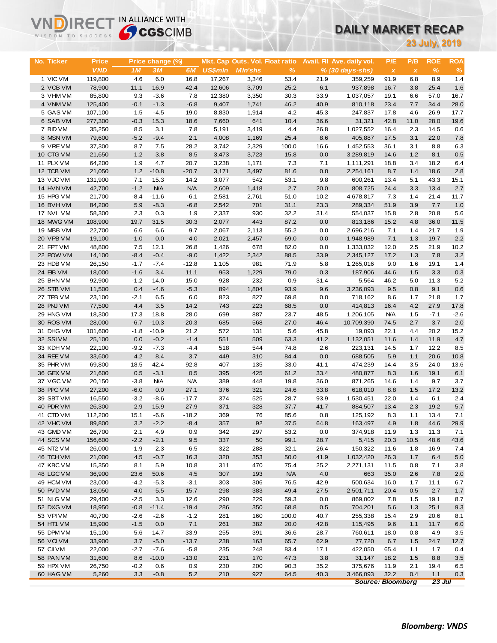# **DAILY MARKET RECAP**

| <b>23 July, 2019</b><br><b>ROE</b><br><b>Price</b><br>Mkt. Cap Outs. Vol. Float ratio<br>Avail. Fil Ave. daily vol.<br>P/E<br>P/B<br><b>ROA</b><br>No. Ticker<br>Price change (%)<br><b>VND</b><br>$\%$<br>1M<br>3M<br>6M<br><b>US\$mln</b><br><b>MIn'shs</b><br>$\frac{9}{6}$<br>$\%$<br>$% (30 \, days\text{-}shs)$<br>$\pmb{\chi}$<br>$\pmb{\chi}$<br>1 VIC VM<br>119,800<br>4.6<br>6.0<br>16.8<br>17,267<br>3,346<br>53.4<br>21.9<br>8.9<br>1.4<br>359,259<br>91.9<br>6.8<br>25.4<br>1.6<br>2 VCB VM<br>11.1<br>16.9<br>42.4<br>12,606<br>3,709<br>25.2<br>6.1<br>78,900<br>937,898<br>16.7<br>3.8<br>7.8<br>57.0<br>16.7<br>3 VHM VM<br>85,800<br>9.3<br>$-3.6$<br>12,380<br>3,350<br>30.3<br>33.9<br>1,037,057<br>19.1<br>6.6<br>4 VNM VM<br>$-0.1$<br>$-1.3$<br>$-6.8$<br>46.2<br>40.9<br>7.7<br>34.4<br>28.0<br>125,400<br>9,407<br>1,741<br>810,118<br>23.4<br>5 GAS VM<br>8,830<br>4.2<br>45.3<br>17.7<br>107,100<br>1.5<br>$-4.5$<br>19.0<br>1,914<br>247,837<br>17.8<br>4.6<br>26.9<br>6 SAB VM<br>277,300<br>$-0.3$<br>15.3<br>18.6<br>7,660<br>641<br>10.4<br>36.6<br>42.8<br>11.0<br>28.0<br>19.6<br>31,321<br>7 BID VM<br>35,250<br>8.5<br>7.8<br>5,191<br>3,419<br>4.4<br>26.8<br>1,027,552<br>2.3<br>14.5<br>0.6<br>3.1<br>16.4<br>8 MSN VM<br>79,600<br>$-5.2$<br>$-9.4$<br>2.1<br>4,008<br>25.4<br>8.6<br>405,887<br>3.1<br>22.0<br>7.8<br>1,169<br>17.5<br>9 VREVM<br>37,300<br>7.5<br>28.2<br>100.0<br>3.1<br>8.8<br>6.3<br>8.7<br>3,742<br>2,329<br>16.6<br>1,452,553<br>36.1<br>10 CTG VM<br>1.2<br>3.8<br>8.5<br>1.2<br>8.1<br>$0.5\,$<br>21,650<br>3,473<br>3,723<br>15.8<br>0.0<br>3,289,819<br>14.6<br>11 PLX VM<br>64,200<br>1.9<br>4.7<br>20.7<br>3,238<br>7.3<br>3.4<br>18.2<br>6.4<br>1,171<br>7.1<br>1,111,291<br>18.8<br>12 TCB VM<br>1.2<br>$-10.8$<br>$-20.7$<br>3,171<br>8.7<br>1.4<br>18.6<br>2.8<br>21,050<br>3,497<br>81.6<br>0.0<br>2,254,161<br>13 VJC VM<br>131,900<br>7.1<br>15.3<br>542<br>53.1<br>9.8<br>5.1<br>43.3<br>15.1<br>14.2<br>3,077<br>600,261<br>13.4<br>$-1.2$<br><b>N/A</b><br>N/A<br>13.4<br>2.7<br>14 HVN VM<br>42,700<br>2,609<br>1,418<br>2.7<br>20.0<br>808,725<br>3.3<br>24.4<br>15 HPG VM<br>21,700<br>$-8.4$<br>$-6.1$<br>2,581<br>2,761<br>51.0<br>10.2<br>4,678,817<br>11.7<br>-11.6<br>7.3<br>1.4<br>21.4<br>1.0<br>16 BVH VM<br>84,200<br>5.9<br>$-8.3$<br>$-6.8$<br>2,542<br>701<br>31.1<br>23.3<br>289,334<br>51.9<br>3.9<br>7.7<br>17 NVL VM<br>58,300<br>2.3<br>0.3<br>1.9<br>2,337<br>930<br>32.2<br>31.4<br>15.8<br>2.8<br>20.8<br>5.6<br>554,037<br>443<br>36.0<br>18 MWG VM<br>108,900<br>19.7<br>31.5<br>30.3<br>2,077<br>87.2<br>0.0<br>813,186<br>15.2<br>4.8<br>11.5<br>19 MBB VM<br>22,700<br>6.6<br>6.6<br>9.7<br>2,067<br>55.2<br>2,696,216<br>21.7<br>2,113<br>0.0<br>7.1<br>1.4<br>1.9<br>20 VPB VM<br>19,100<br>$-1.0$<br>0.0<br>$-4.0$<br>2,021<br>69.0<br>0.0<br>1,948,989<br>7.1<br>1.3<br>19.7<br>2.2<br>2,457<br>21 FPT VM<br>48,800<br>7.5<br>12.1<br>26.8<br>1,426<br>678<br>82.0<br>0.0<br>1,333,032<br>12.0<br>2.5<br>21.9<br>10.2<br>3.2<br>22 POW VM<br>14,100<br>$-8.4$<br>$-0.4$<br>$-9.0$<br>1,422<br>2,342<br>88.5<br>33.9<br>17.2<br>1.3<br>7.8<br>2,345,127<br>23 HDB VM<br>26,150<br>$-12.8$<br>981<br>1.6<br>$-1.7$<br>$-7.4$<br>1,105<br>71.9<br>5.8<br>1,265,016<br>9.0<br>19.1<br>1.4<br>24 EIB VM<br>18,000<br>3.4<br>11.1<br>953<br>1,229<br>79.0<br>0.3<br>1.5<br>3.3<br>0.3<br>$-1.6$<br>187,906<br>44.6<br>25 BHN VM<br>92,900<br>$-1.2$<br>15.0<br>928<br>232<br>31.4<br>5,564<br>11.3<br>5.2<br>14.0<br>0.9<br>46.2<br>5.0<br>26 STB VM<br>11,500<br>0.4<br>$-4.6$<br>$-5.3$<br>894<br>1,804<br>93.9<br>9.6<br>3,236,093<br>9.5<br>0.8<br>9.1<br>0.6<br>27 TPB VM<br>23,100<br>$-2.1$<br>6.5<br>6.0<br>823<br>827<br>69.8<br>0.0<br>718,162<br>8.6<br>1.7<br>21.8<br>1.7<br>28 PNJ VM<br>4.4<br>3.5<br>77,500<br>14.2<br>743<br>223<br>68.5<br>0.0<br>414,813<br>16.4<br>4.2<br>27.9<br>17.8<br>29 HNG VM<br>18,300<br>17.3<br>18.8<br>28.0<br>699<br>887<br>23.7<br>48.5<br>1,206,105<br><b>N/A</b><br>1.5<br>$-7.1$<br>$-2.6$<br>30 ROS VM<br>28,000<br>$-6.7$<br>$-10.3$<br>$-20.3$<br>685<br>568<br>27.0<br>46.4<br>10,709,390<br>2.7<br>3.7<br>2.0<br>74.5<br>31 DHG VM<br>572<br>20.2<br>15.2<br>101,600<br>$-1.8$<br>$-10.9$<br>21.2<br>131<br>5.6<br>45.8<br>19,093<br>22.1<br>4.4<br>32 SSIVM<br>$4.7\,$<br>0.0<br>$-0.2$<br>$-1.4$<br>551<br>509<br>63.3<br>41.2<br>1,132,051<br>1.4<br>11.9<br>25,100<br>11.6<br>33 KDH VM<br>$-9.2$<br>$-7.3$<br>$-4.4$<br>518<br>544<br>74.8<br>12.2<br>8.5<br>22,100<br>2.6<br>223,131<br>14.5<br>1.7<br>34 REE VM<br>33,600<br>4.2<br>8.4<br>3.7<br>310<br>84.4<br>0.0<br>5.9<br>1.1<br>20.6<br>10.8<br>449<br>688,505<br>35 PHR VM<br>69,800<br>18.5<br>42.4<br>92.8<br>407<br>33.0<br>41.1<br>3.5<br>24.0<br>13.6<br>135<br>474,239<br>14.4<br>36 GEX VM<br>21,600<br>0.5<br>$-3.1$<br>0.5<br>395<br>425<br>61.2<br>33.4<br>8.3<br>1.6<br>19.1<br>6.1<br>480,877<br>389<br>37 VGC VM<br>20,150<br>$-3.8$<br><b>N/A</b><br><b>N/A</b><br>448<br>19.8<br>36.0<br>871,265<br>14.6<br>1.4<br>9.7<br>3.7<br>38 PPC VM<br>376<br>321<br>1.5<br>17.2<br>13.2<br>27,200<br>$-6.0$<br>0.0<br>27.1<br>24.6<br>33.8<br>618,010<br>8.8<br>39 SBT VM<br>16,550<br>$-3.2$<br>$-8.6$<br>$-17.7$<br>374<br>525<br>93.9<br>1,530,451<br>1.4<br>6.1<br>2.4<br>28.7<br>22.0<br>40 PDR VM<br>26,300<br>2.9<br>15.9<br>27.9<br>371<br>328<br>37.7<br>41.7<br>884,507<br>2.3<br>19.2<br>$5.7\,$<br>13.4<br>41 CTD VM<br>112,200<br>15.1<br>$-6.6$<br>$-18.2$<br>369<br>76<br>85.6<br>0.8<br>125,192<br>8.3<br>1.1<br>13.4<br>7.1<br>42 VHC VM<br>3.2<br>$-2.2$<br>$-8.4$<br>357<br>92<br>37.5<br>64.8<br>44.6<br>89,800<br>163,497<br>4.9<br>1.8<br>29.9<br>43 GMD VM<br>26,700<br>342<br>297<br>53.2<br>2.1<br>4.9<br>0.9<br>0.0<br>374,918<br>11.9<br>1.3<br>11.3<br>7.1<br>44 SCS VM<br>$-2.2$<br>$-2.1$<br>337<br>99.1<br>28.7<br>48.6<br>43.6<br>156,600<br>9.5<br>50<br>5,415<br>20.3<br>10.5<br>45 NT2 VM<br>26,000<br>$-1.9$<br>$-2.3$<br>$-6.5$<br>322<br>288<br>32.1<br>26.4<br>150,322<br>11.6<br>1.8<br>16.9<br>7.4<br>46 TCH VM<br>21,000<br>4.5<br>$-0.7$<br>16.3<br>320<br>353<br>50.0<br>41.9<br>1,032,420<br>26.3<br>1.7<br>6.4<br>5.0<br>47 KBC VM<br>15,350<br>8.1<br>5.9<br>10.8<br>311<br>470<br>75.4<br>25.2<br>2,271,131<br>11.5<br>0.8<br>7.1<br>3.8<br>48 LGC VM<br>36,900<br>4.5<br>307<br><b>N/A</b><br>4.0<br>23.6<br>50.6<br>193<br>663<br>35.0<br>2.6<br>7.8<br>2.0<br>49 HCM VM<br>23,000<br>$-4.2$<br>$-5.3$<br>$-3.1$<br>303<br>306<br>42.9<br>500,634<br>11.1<br>6.7<br>76.5<br>16.0<br>1.7<br>50 PVD VM<br>18,050<br>$-4.0$<br>15.7<br>298<br>383<br>49.4<br>2,501,711<br>2.7<br>$1.7$<br>$-5.5$<br>27.5<br>20.4<br>0.5<br>51 NLG VM<br>29,400<br>$-2.5$<br>3.3<br>12.6<br>290<br>229<br>59.3<br>0.0<br>869,002<br>7.8<br>1.5<br>19.1<br>8.7<br>52 DXG VM<br>18,950<br>$-11.4$<br>25.1<br>9.3<br>$-0.8$<br>$-19.4$<br>286<br>350<br>68.8<br>0.5<br>704,201<br>5.6<br>1.3<br>53 VPI VM<br>40,700<br>$-2.6$<br>$-2.6$<br>$-1.2$<br>281<br>100.0<br>40.7<br>255,338<br>20.6<br>160<br>15.4<br>2.9<br>8.1<br>54 HT1 VM<br>15,900<br>$-1.5$<br>0.0<br>7.1<br>261<br>382<br>20.0<br>42.8<br>115,495<br>9.6<br>11.7<br>1.1<br>6.0<br>55 DPM VM<br>15,100<br>$-5.6$<br>$-33.9$<br>255<br>36.6<br>28.7<br>4.9<br>$-14.7$<br>391<br>760,611<br>18.0<br>0.8<br>3.5<br>56 VCIVM<br>33,900<br>3.7<br>$-5.0$<br>$-13.7$<br>238<br>163<br>65.7<br>62.9<br>6.7<br>1.5<br>24.7<br>12.7<br>77,720<br>57 CII VM<br>22,000<br>$-2.7$<br>$-7.6$<br>$-5.8$<br>235<br>248<br>83.4<br>17.1<br>422,050<br>65.4<br>1.1<br>1.7<br>0.4<br>58 PAN VM<br>31,600<br>8.6<br>$-10.0$<br>$-13.0$<br>231<br>47.3<br>3.8<br>170<br>31,147<br>18.2<br>1.5<br>8.8<br>3.5<br>59 HPX VM<br>26,750<br>0.9<br>230<br>200<br>35.2<br>375,676<br>$-0.2$<br>0.6<br>90.3<br>11.9<br>2.1<br>19.4<br>6.5<br>60 HAG VM<br>5,260<br>3.3<br>$-0.8$<br>$5.2\,$<br>210<br>927<br>40.3<br>32.2<br>0.4<br>1.1<br>64.5<br>3,466,093<br>0.3<br><b>Source: Bloomberg</b><br>$23$ Jul | WISDOM TO SUCCESS | <b>Sy CGS</b> CIMB |  |  |  | UAILT MARNET RECAP |  |  |
|----------------------------------------------------------------------------------------------------------------------------------------------------------------------------------------------------------------------------------------------------------------------------------------------------------------------------------------------------------------------------------------------------------------------------------------------------------------------------------------------------------------------------------------------------------------------------------------------------------------------------------------------------------------------------------------------------------------------------------------------------------------------------------------------------------------------------------------------------------------------------------------------------------------------------------------------------------------------------------------------------------------------------------------------------------------------------------------------------------------------------------------------------------------------------------------------------------------------------------------------------------------------------------------------------------------------------------------------------------------------------------------------------------------------------------------------------------------------------------------------------------------------------------------------------------------------------------------------------------------------------------------------------------------------------------------------------------------------------------------------------------------------------------------------------------------------------------------------------------------------------------------------------------------------------------------------------------------------------------------------------------------------------------------------------------------------------------------------------------------------------------------------------------------------------------------------------------------------------------------------------------------------------------------------------------------------------------------------------------------------------------------------------------------------------------------------------------------------------------------------------------------------------------------------------------------------------------------------------------------------------------------------------------------------------------------------------------------------------------------------------------------------------------------------------------------------------------------------------------------------------------------------------------------------------------------------------------------------------------------------------------------------------------------------------------------------------------------------------------------------------------------------------------------------------------------------------------------------------------------------------------------------------------------------------------------------------------------------------------------------------------------------------------------------------------------------------------------------------------------------------------------------------------------------------------------------------------------------------------------------------------------------------------------------------------------------------------------------------------------------------------------------------------------------------------------------------------------------------------------------------------------------------------------------------------------------------------------------------------------------------------------------------------------------------------------------------------------------------------------------------------------------------------------------------------------------------------------------------------------------------------------------------------------------------------------------------------------------------------------------------------------------------------------------------------------------------------------------------------------------------------------------------------------------------------------------------------------------------------------------------------------------------------------------------------------------------------------------------------------------------------------------------------------------------------------------------------------------------------------------------------------------------------------------------------------------------------------------------------------------------------------------------------------------------------------------------------------------------------------------------------------------------------------------------------------------------------------------------------------------------------------------------------------------------------------------------------------------------------------------------------------------------------------------------------------------------------------------------------------------------------------------------------------------------------------------------------------------------------------------------------------------------------------------------------------------------------------------------------------------------------------------------------------------------------------------------------------------------------------------------------------------------------------------------------------------------------------------------------------------------------------------------------------------------------------------------------------------------------------------------------------------------------------------------------------------------------------------------------------------------------------------------------------------------------------------------------------------------------------------------------------------------------------------------------------------------------------------------------------------------------------------------------------------------------------------------------------------------------------------------------------------------------------------------------------------------------------------------------------------------------------------------------------------------------------------------------------------------------------------------------------------------------------------------------------------------------------------------------------------------------------------------------------------------------------------------------------------------------------------------------------------------------------------------------------------------------------------------------------------------------------------------------------------------------------------------------------------------------------------------------------------------------------------------------------------------------------------------------------------------------------------------------------------------------------------------------------------------------------------------------------------------------------------------------------------------------------------------------------------------------------------------------------------------------------------------------------------------------------------------------------------------------------------------------------------------------------------------------------------------------------|-------------------|--------------------|--|--|--|--------------------|--|--|
|                                                                                                                                                                                                                                                                                                                                                                                                                                                                                                                                                                                                                                                                                                                                                                                                                                                                                                                                                                                                                                                                                                                                                                                                                                                                                                                                                                                                                                                                                                                                                                                                                                                                                                                                                                                                                                                                                                                                                                                                                                                                                                                                                                                                                                                                                                                                                                                                                                                                                                                                                                                                                                                                                                                                                                                                                                                                                                                                                                                                                                                                                                                                                                                                                                                                                                                                                                                                                                                                                                                                                                                                                                                                                                                                                                                                                                                                                                                                                                                                                                                                                                                                                                                                                                                                                                                                                                                                                                                                                                                                                                                                                                                                                                                                                                                                                                                                                                                                                                                                                                                                                                                                                                                                                                                                                                                                                                                                                                                                                                                                                                                                                                                                                                                                                                                                                                                                                                                                                                                                                                                                                                                                                                                                                                                                                                                                                                                                                                                                                                                                                                                                                                                                                                                                                                                                                                                                                                                                                                                                                                                                                                                                                                                                                                                                                                                                                                                                                                                                                                                                                                                                                                                                                                                                                                                                                                                                                                                                                                                                                |                   |                    |  |  |  |                    |  |  |
|                                                                                                                                                                                                                                                                                                                                                                                                                                                                                                                                                                                                                                                                                                                                                                                                                                                                                                                                                                                                                                                                                                                                                                                                                                                                                                                                                                                                                                                                                                                                                                                                                                                                                                                                                                                                                                                                                                                                                                                                                                                                                                                                                                                                                                                                                                                                                                                                                                                                                                                                                                                                                                                                                                                                                                                                                                                                                                                                                                                                                                                                                                                                                                                                                                                                                                                                                                                                                                                                                                                                                                                                                                                                                                                                                                                                                                                                                                                                                                                                                                                                                                                                                                                                                                                                                                                                                                                                                                                                                                                                                                                                                                                                                                                                                                                                                                                                                                                                                                                                                                                                                                                                                                                                                                                                                                                                                                                                                                                                                                                                                                                                                                                                                                                                                                                                                                                                                                                                                                                                                                                                                                                                                                                                                                                                                                                                                                                                                                                                                                                                                                                                                                                                                                                                                                                                                                                                                                                                                                                                                                                                                                                                                                                                                                                                                                                                                                                                                                                                                                                                                                                                                                                                                                                                                                                                                                                                                                                                                                                                                |                   |                    |  |  |  |                    |  |  |
|                                                                                                                                                                                                                                                                                                                                                                                                                                                                                                                                                                                                                                                                                                                                                                                                                                                                                                                                                                                                                                                                                                                                                                                                                                                                                                                                                                                                                                                                                                                                                                                                                                                                                                                                                                                                                                                                                                                                                                                                                                                                                                                                                                                                                                                                                                                                                                                                                                                                                                                                                                                                                                                                                                                                                                                                                                                                                                                                                                                                                                                                                                                                                                                                                                                                                                                                                                                                                                                                                                                                                                                                                                                                                                                                                                                                                                                                                                                                                                                                                                                                                                                                                                                                                                                                                                                                                                                                                                                                                                                                                                                                                                                                                                                                                                                                                                                                                                                                                                                                                                                                                                                                                                                                                                                                                                                                                                                                                                                                                                                                                                                                                                                                                                                                                                                                                                                                                                                                                                                                                                                                                                                                                                                                                                                                                                                                                                                                                                                                                                                                                                                                                                                                                                                                                                                                                                                                                                                                                                                                                                                                                                                                                                                                                                                                                                                                                                                                                                                                                                                                                                                                                                                                                                                                                                                                                                                                                                                                                                                                                |                   |                    |  |  |  |                    |  |  |
|                                                                                                                                                                                                                                                                                                                                                                                                                                                                                                                                                                                                                                                                                                                                                                                                                                                                                                                                                                                                                                                                                                                                                                                                                                                                                                                                                                                                                                                                                                                                                                                                                                                                                                                                                                                                                                                                                                                                                                                                                                                                                                                                                                                                                                                                                                                                                                                                                                                                                                                                                                                                                                                                                                                                                                                                                                                                                                                                                                                                                                                                                                                                                                                                                                                                                                                                                                                                                                                                                                                                                                                                                                                                                                                                                                                                                                                                                                                                                                                                                                                                                                                                                                                                                                                                                                                                                                                                                                                                                                                                                                                                                                                                                                                                                                                                                                                                                                                                                                                                                                                                                                                                                                                                                                                                                                                                                                                                                                                                                                                                                                                                                                                                                                                                                                                                                                                                                                                                                                                                                                                                                                                                                                                                                                                                                                                                                                                                                                                                                                                                                                                                                                                                                                                                                                                                                                                                                                                                                                                                                                                                                                                                                                                                                                                                                                                                                                                                                                                                                                                                                                                                                                                                                                                                                                                                                                                                                                                                                                                                                |                   |                    |  |  |  |                    |  |  |
|                                                                                                                                                                                                                                                                                                                                                                                                                                                                                                                                                                                                                                                                                                                                                                                                                                                                                                                                                                                                                                                                                                                                                                                                                                                                                                                                                                                                                                                                                                                                                                                                                                                                                                                                                                                                                                                                                                                                                                                                                                                                                                                                                                                                                                                                                                                                                                                                                                                                                                                                                                                                                                                                                                                                                                                                                                                                                                                                                                                                                                                                                                                                                                                                                                                                                                                                                                                                                                                                                                                                                                                                                                                                                                                                                                                                                                                                                                                                                                                                                                                                                                                                                                                                                                                                                                                                                                                                                                                                                                                                                                                                                                                                                                                                                                                                                                                                                                                                                                                                                                                                                                                                                                                                                                                                                                                                                                                                                                                                                                                                                                                                                                                                                                                                                                                                                                                                                                                                                                                                                                                                                                                                                                                                                                                                                                                                                                                                                                                                                                                                                                                                                                                                                                                                                                                                                                                                                                                                                                                                                                                                                                                                                                                                                                                                                                                                                                                                                                                                                                                                                                                                                                                                                                                                                                                                                                                                                                                                                                                                                |                   |                    |  |  |  |                    |  |  |
|                                                                                                                                                                                                                                                                                                                                                                                                                                                                                                                                                                                                                                                                                                                                                                                                                                                                                                                                                                                                                                                                                                                                                                                                                                                                                                                                                                                                                                                                                                                                                                                                                                                                                                                                                                                                                                                                                                                                                                                                                                                                                                                                                                                                                                                                                                                                                                                                                                                                                                                                                                                                                                                                                                                                                                                                                                                                                                                                                                                                                                                                                                                                                                                                                                                                                                                                                                                                                                                                                                                                                                                                                                                                                                                                                                                                                                                                                                                                                                                                                                                                                                                                                                                                                                                                                                                                                                                                                                                                                                                                                                                                                                                                                                                                                                                                                                                                                                                                                                                                                                                                                                                                                                                                                                                                                                                                                                                                                                                                                                                                                                                                                                                                                                                                                                                                                                                                                                                                                                                                                                                                                                                                                                                                                                                                                                                                                                                                                                                                                                                                                                                                                                                                                                                                                                                                                                                                                                                                                                                                                                                                                                                                                                                                                                                                                                                                                                                                                                                                                                                                                                                                                                                                                                                                                                                                                                                                                                                                                                                                                |                   |                    |  |  |  |                    |  |  |
|                                                                                                                                                                                                                                                                                                                                                                                                                                                                                                                                                                                                                                                                                                                                                                                                                                                                                                                                                                                                                                                                                                                                                                                                                                                                                                                                                                                                                                                                                                                                                                                                                                                                                                                                                                                                                                                                                                                                                                                                                                                                                                                                                                                                                                                                                                                                                                                                                                                                                                                                                                                                                                                                                                                                                                                                                                                                                                                                                                                                                                                                                                                                                                                                                                                                                                                                                                                                                                                                                                                                                                                                                                                                                                                                                                                                                                                                                                                                                                                                                                                                                                                                                                                                                                                                                                                                                                                                                                                                                                                                                                                                                                                                                                                                                                                                                                                                                                                                                                                                                                                                                                                                                                                                                                                                                                                                                                                                                                                                                                                                                                                                                                                                                                                                                                                                                                                                                                                                                                                                                                                                                                                                                                                                                                                                                                                                                                                                                                                                                                                                                                                                                                                                                                                                                                                                                                                                                                                                                                                                                                                                                                                                                                                                                                                                                                                                                                                                                                                                                                                                                                                                                                                                                                                                                                                                                                                                                                                                                                                                                |                   |                    |  |  |  |                    |  |  |
|                                                                                                                                                                                                                                                                                                                                                                                                                                                                                                                                                                                                                                                                                                                                                                                                                                                                                                                                                                                                                                                                                                                                                                                                                                                                                                                                                                                                                                                                                                                                                                                                                                                                                                                                                                                                                                                                                                                                                                                                                                                                                                                                                                                                                                                                                                                                                                                                                                                                                                                                                                                                                                                                                                                                                                                                                                                                                                                                                                                                                                                                                                                                                                                                                                                                                                                                                                                                                                                                                                                                                                                                                                                                                                                                                                                                                                                                                                                                                                                                                                                                                                                                                                                                                                                                                                                                                                                                                                                                                                                                                                                                                                                                                                                                                                                                                                                                                                                                                                                                                                                                                                                                                                                                                                                                                                                                                                                                                                                                                                                                                                                                                                                                                                                                                                                                                                                                                                                                                                                                                                                                                                                                                                                                                                                                                                                                                                                                                                                                                                                                                                                                                                                                                                                                                                                                                                                                                                                                                                                                                                                                                                                                                                                                                                                                                                                                                                                                                                                                                                                                                                                                                                                                                                                                                                                                                                                                                                                                                                                                                |                   |                    |  |  |  |                    |  |  |
|                                                                                                                                                                                                                                                                                                                                                                                                                                                                                                                                                                                                                                                                                                                                                                                                                                                                                                                                                                                                                                                                                                                                                                                                                                                                                                                                                                                                                                                                                                                                                                                                                                                                                                                                                                                                                                                                                                                                                                                                                                                                                                                                                                                                                                                                                                                                                                                                                                                                                                                                                                                                                                                                                                                                                                                                                                                                                                                                                                                                                                                                                                                                                                                                                                                                                                                                                                                                                                                                                                                                                                                                                                                                                                                                                                                                                                                                                                                                                                                                                                                                                                                                                                                                                                                                                                                                                                                                                                                                                                                                                                                                                                                                                                                                                                                                                                                                                                                                                                                                                                                                                                                                                                                                                                                                                                                                                                                                                                                                                                                                                                                                                                                                                                                                                                                                                                                                                                                                                                                                                                                                                                                                                                                                                                                                                                                                                                                                                                                                                                                                                                                                                                                                                                                                                                                                                                                                                                                                                                                                                                                                                                                                                                                                                                                                                                                                                                                                                                                                                                                                                                                                                                                                                                                                                                                                                                                                                                                                                                                                                |                   |                    |  |  |  |                    |  |  |
|                                                                                                                                                                                                                                                                                                                                                                                                                                                                                                                                                                                                                                                                                                                                                                                                                                                                                                                                                                                                                                                                                                                                                                                                                                                                                                                                                                                                                                                                                                                                                                                                                                                                                                                                                                                                                                                                                                                                                                                                                                                                                                                                                                                                                                                                                                                                                                                                                                                                                                                                                                                                                                                                                                                                                                                                                                                                                                                                                                                                                                                                                                                                                                                                                                                                                                                                                                                                                                                                                                                                                                                                                                                                                                                                                                                                                                                                                                                                                                                                                                                                                                                                                                                                                                                                                                                                                                                                                                                                                                                                                                                                                                                                                                                                                                                                                                                                                                                                                                                                                                                                                                                                                                                                                                                                                                                                                                                                                                                                                                                                                                                                                                                                                                                                                                                                                                                                                                                                                                                                                                                                                                                                                                                                                                                                                                                                                                                                                                                                                                                                                                                                                                                                                                                                                                                                                                                                                                                                                                                                                                                                                                                                                                                                                                                                                                                                                                                                                                                                                                                                                                                                                                                                                                                                                                                                                                                                                                                                                                                                                |                   |                    |  |  |  |                    |  |  |
|                                                                                                                                                                                                                                                                                                                                                                                                                                                                                                                                                                                                                                                                                                                                                                                                                                                                                                                                                                                                                                                                                                                                                                                                                                                                                                                                                                                                                                                                                                                                                                                                                                                                                                                                                                                                                                                                                                                                                                                                                                                                                                                                                                                                                                                                                                                                                                                                                                                                                                                                                                                                                                                                                                                                                                                                                                                                                                                                                                                                                                                                                                                                                                                                                                                                                                                                                                                                                                                                                                                                                                                                                                                                                                                                                                                                                                                                                                                                                                                                                                                                                                                                                                                                                                                                                                                                                                                                                                                                                                                                                                                                                                                                                                                                                                                                                                                                                                                                                                                                                                                                                                                                                                                                                                                                                                                                                                                                                                                                                                                                                                                                                                                                                                                                                                                                                                                                                                                                                                                                                                                                                                                                                                                                                                                                                                                                                                                                                                                                                                                                                                                                                                                                                                                                                                                                                                                                                                                                                                                                                                                                                                                                                                                                                                                                                                                                                                                                                                                                                                                                                                                                                                                                                                                                                                                                                                                                                                                                                                                                                |                   |                    |  |  |  |                    |  |  |
|                                                                                                                                                                                                                                                                                                                                                                                                                                                                                                                                                                                                                                                                                                                                                                                                                                                                                                                                                                                                                                                                                                                                                                                                                                                                                                                                                                                                                                                                                                                                                                                                                                                                                                                                                                                                                                                                                                                                                                                                                                                                                                                                                                                                                                                                                                                                                                                                                                                                                                                                                                                                                                                                                                                                                                                                                                                                                                                                                                                                                                                                                                                                                                                                                                                                                                                                                                                                                                                                                                                                                                                                                                                                                                                                                                                                                                                                                                                                                                                                                                                                                                                                                                                                                                                                                                                                                                                                                                                                                                                                                                                                                                                                                                                                                                                                                                                                                                                                                                                                                                                                                                                                                                                                                                                                                                                                                                                                                                                                                                                                                                                                                                                                                                                                                                                                                                                                                                                                                                                                                                                                                                                                                                                                                                                                                                                                                                                                                                                                                                                                                                                                                                                                                                                                                                                                                                                                                                                                                                                                                                                                                                                                                                                                                                                                                                                                                                                                                                                                                                                                                                                                                                                                                                                                                                                                                                                                                                                                                                                                                |                   |                    |  |  |  |                    |  |  |
|                                                                                                                                                                                                                                                                                                                                                                                                                                                                                                                                                                                                                                                                                                                                                                                                                                                                                                                                                                                                                                                                                                                                                                                                                                                                                                                                                                                                                                                                                                                                                                                                                                                                                                                                                                                                                                                                                                                                                                                                                                                                                                                                                                                                                                                                                                                                                                                                                                                                                                                                                                                                                                                                                                                                                                                                                                                                                                                                                                                                                                                                                                                                                                                                                                                                                                                                                                                                                                                                                                                                                                                                                                                                                                                                                                                                                                                                                                                                                                                                                                                                                                                                                                                                                                                                                                                                                                                                                                                                                                                                                                                                                                                                                                                                                                                                                                                                                                                                                                                                                                                                                                                                                                                                                                                                                                                                                                                                                                                                                                                                                                                                                                                                                                                                                                                                                                                                                                                                                                                                                                                                                                                                                                                                                                                                                                                                                                                                                                                                                                                                                                                                                                                                                                                                                                                                                                                                                                                                                                                                                                                                                                                                                                                                                                                                                                                                                                                                                                                                                                                                                                                                                                                                                                                                                                                                                                                                                                                                                                                                                |                   |                    |  |  |  |                    |  |  |
|                                                                                                                                                                                                                                                                                                                                                                                                                                                                                                                                                                                                                                                                                                                                                                                                                                                                                                                                                                                                                                                                                                                                                                                                                                                                                                                                                                                                                                                                                                                                                                                                                                                                                                                                                                                                                                                                                                                                                                                                                                                                                                                                                                                                                                                                                                                                                                                                                                                                                                                                                                                                                                                                                                                                                                                                                                                                                                                                                                                                                                                                                                                                                                                                                                                                                                                                                                                                                                                                                                                                                                                                                                                                                                                                                                                                                                                                                                                                                                                                                                                                                                                                                                                                                                                                                                                                                                                                                                                                                                                                                                                                                                                                                                                                                                                                                                                                                                                                                                                                                                                                                                                                                                                                                                                                                                                                                                                                                                                                                                                                                                                                                                                                                                                                                                                                                                                                                                                                                                                                                                                                                                                                                                                                                                                                                                                                                                                                                                                                                                                                                                                                                                                                                                                                                                                                                                                                                                                                                                                                                                                                                                                                                                                                                                                                                                                                                                                                                                                                                                                                                                                                                                                                                                                                                                                                                                                                                                                                                                                                                |                   |                    |  |  |  |                    |  |  |
|                                                                                                                                                                                                                                                                                                                                                                                                                                                                                                                                                                                                                                                                                                                                                                                                                                                                                                                                                                                                                                                                                                                                                                                                                                                                                                                                                                                                                                                                                                                                                                                                                                                                                                                                                                                                                                                                                                                                                                                                                                                                                                                                                                                                                                                                                                                                                                                                                                                                                                                                                                                                                                                                                                                                                                                                                                                                                                                                                                                                                                                                                                                                                                                                                                                                                                                                                                                                                                                                                                                                                                                                                                                                                                                                                                                                                                                                                                                                                                                                                                                                                                                                                                                                                                                                                                                                                                                                                                                                                                                                                                                                                                                                                                                                                                                                                                                                                                                                                                                                                                                                                                                                                                                                                                                                                                                                                                                                                                                                                                                                                                                                                                                                                                                                                                                                                                                                                                                                                                                                                                                                                                                                                                                                                                                                                                                                                                                                                                                                                                                                                                                                                                                                                                                                                                                                                                                                                                                                                                                                                                                                                                                                                                                                                                                                                                                                                                                                                                                                                                                                                                                                                                                                                                                                                                                                                                                                                                                                                                                                                |                   |                    |  |  |  |                    |  |  |
|                                                                                                                                                                                                                                                                                                                                                                                                                                                                                                                                                                                                                                                                                                                                                                                                                                                                                                                                                                                                                                                                                                                                                                                                                                                                                                                                                                                                                                                                                                                                                                                                                                                                                                                                                                                                                                                                                                                                                                                                                                                                                                                                                                                                                                                                                                                                                                                                                                                                                                                                                                                                                                                                                                                                                                                                                                                                                                                                                                                                                                                                                                                                                                                                                                                                                                                                                                                                                                                                                                                                                                                                                                                                                                                                                                                                                                                                                                                                                                                                                                                                                                                                                                                                                                                                                                                                                                                                                                                                                                                                                                                                                                                                                                                                                                                                                                                                                                                                                                                                                                                                                                                                                                                                                                                                                                                                                                                                                                                                                                                                                                                                                                                                                                                                                                                                                                                                                                                                                                                                                                                                                                                                                                                                                                                                                                                                                                                                                                                                                                                                                                                                                                                                                                                                                                                                                                                                                                                                                                                                                                                                                                                                                                                                                                                                                                                                                                                                                                                                                                                                                                                                                                                                                                                                                                                                                                                                                                                                                                                                                |                   |                    |  |  |  |                    |  |  |
|                                                                                                                                                                                                                                                                                                                                                                                                                                                                                                                                                                                                                                                                                                                                                                                                                                                                                                                                                                                                                                                                                                                                                                                                                                                                                                                                                                                                                                                                                                                                                                                                                                                                                                                                                                                                                                                                                                                                                                                                                                                                                                                                                                                                                                                                                                                                                                                                                                                                                                                                                                                                                                                                                                                                                                                                                                                                                                                                                                                                                                                                                                                                                                                                                                                                                                                                                                                                                                                                                                                                                                                                                                                                                                                                                                                                                                                                                                                                                                                                                                                                                                                                                                                                                                                                                                                                                                                                                                                                                                                                                                                                                                                                                                                                                                                                                                                                                                                                                                                                                                                                                                                                                                                                                                                                                                                                                                                                                                                                                                                                                                                                                                                                                                                                                                                                                                                                                                                                                                                                                                                                                                                                                                                                                                                                                                                                                                                                                                                                                                                                                                                                                                                                                                                                                                                                                                                                                                                                                                                                                                                                                                                                                                                                                                                                                                                                                                                                                                                                                                                                                                                                                                                                                                                                                                                                                                                                                                                                                                                                                |                   |                    |  |  |  |                    |  |  |
|                                                                                                                                                                                                                                                                                                                                                                                                                                                                                                                                                                                                                                                                                                                                                                                                                                                                                                                                                                                                                                                                                                                                                                                                                                                                                                                                                                                                                                                                                                                                                                                                                                                                                                                                                                                                                                                                                                                                                                                                                                                                                                                                                                                                                                                                                                                                                                                                                                                                                                                                                                                                                                                                                                                                                                                                                                                                                                                                                                                                                                                                                                                                                                                                                                                                                                                                                                                                                                                                                                                                                                                                                                                                                                                                                                                                                                                                                                                                                                                                                                                                                                                                                                                                                                                                                                                                                                                                                                                                                                                                                                                                                                                                                                                                                                                                                                                                                                                                                                                                                                                                                                                                                                                                                                                                                                                                                                                                                                                                                                                                                                                                                                                                                                                                                                                                                                                                                                                                                                                                                                                                                                                                                                                                                                                                                                                                                                                                                                                                                                                                                                                                                                                                                                                                                                                                                                                                                                                                                                                                                                                                                                                                                                                                                                                                                                                                                                                                                                                                                                                                                                                                                                                                                                                                                                                                                                                                                                                                                                                                                |                   |                    |  |  |  |                    |  |  |
|                                                                                                                                                                                                                                                                                                                                                                                                                                                                                                                                                                                                                                                                                                                                                                                                                                                                                                                                                                                                                                                                                                                                                                                                                                                                                                                                                                                                                                                                                                                                                                                                                                                                                                                                                                                                                                                                                                                                                                                                                                                                                                                                                                                                                                                                                                                                                                                                                                                                                                                                                                                                                                                                                                                                                                                                                                                                                                                                                                                                                                                                                                                                                                                                                                                                                                                                                                                                                                                                                                                                                                                                                                                                                                                                                                                                                                                                                                                                                                                                                                                                                                                                                                                                                                                                                                                                                                                                                                                                                                                                                                                                                                                                                                                                                                                                                                                                                                                                                                                                                                                                                                                                                                                                                                                                                                                                                                                                                                                                                                                                                                                                                                                                                                                                                                                                                                                                                                                                                                                                                                                                                                                                                                                                                                                                                                                                                                                                                                                                                                                                                                                                                                                                                                                                                                                                                                                                                                                                                                                                                                                                                                                                                                                                                                                                                                                                                                                                                                                                                                                                                                                                                                                                                                                                                                                                                                                                                                                                                                                                                |                   |                    |  |  |  |                    |  |  |
|                                                                                                                                                                                                                                                                                                                                                                                                                                                                                                                                                                                                                                                                                                                                                                                                                                                                                                                                                                                                                                                                                                                                                                                                                                                                                                                                                                                                                                                                                                                                                                                                                                                                                                                                                                                                                                                                                                                                                                                                                                                                                                                                                                                                                                                                                                                                                                                                                                                                                                                                                                                                                                                                                                                                                                                                                                                                                                                                                                                                                                                                                                                                                                                                                                                                                                                                                                                                                                                                                                                                                                                                                                                                                                                                                                                                                                                                                                                                                                                                                                                                                                                                                                                                                                                                                                                                                                                                                                                                                                                                                                                                                                                                                                                                                                                                                                                                                                                                                                                                                                                                                                                                                                                                                                                                                                                                                                                                                                                                                                                                                                                                                                                                                                                                                                                                                                                                                                                                                                                                                                                                                                                                                                                                                                                                                                                                                                                                                                                                                                                                                                                                                                                                                                                                                                                                                                                                                                                                                                                                                                                                                                                                                                                                                                                                                                                                                                                                                                                                                                                                                                                                                                                                                                                                                                                                                                                                                                                                                                                                                |                   |                    |  |  |  |                    |  |  |
|                                                                                                                                                                                                                                                                                                                                                                                                                                                                                                                                                                                                                                                                                                                                                                                                                                                                                                                                                                                                                                                                                                                                                                                                                                                                                                                                                                                                                                                                                                                                                                                                                                                                                                                                                                                                                                                                                                                                                                                                                                                                                                                                                                                                                                                                                                                                                                                                                                                                                                                                                                                                                                                                                                                                                                                                                                                                                                                                                                                                                                                                                                                                                                                                                                                                                                                                                                                                                                                                                                                                                                                                                                                                                                                                                                                                                                                                                                                                                                                                                                                                                                                                                                                                                                                                                                                                                                                                                                                                                                                                                                                                                                                                                                                                                                                                                                                                                                                                                                                                                                                                                                                                                                                                                                                                                                                                                                                                                                                                                                                                                                                                                                                                                                                                                                                                                                                                                                                                                                                                                                                                                                                                                                                                                                                                                                                                                                                                                                                                                                                                                                                                                                                                                                                                                                                                                                                                                                                                                                                                                                                                                                                                                                                                                                                                                                                                                                                                                                                                                                                                                                                                                                                                                                                                                                                                                                                                                                                                                                                                                |                   |                    |  |  |  |                    |  |  |
|                                                                                                                                                                                                                                                                                                                                                                                                                                                                                                                                                                                                                                                                                                                                                                                                                                                                                                                                                                                                                                                                                                                                                                                                                                                                                                                                                                                                                                                                                                                                                                                                                                                                                                                                                                                                                                                                                                                                                                                                                                                                                                                                                                                                                                                                                                                                                                                                                                                                                                                                                                                                                                                                                                                                                                                                                                                                                                                                                                                                                                                                                                                                                                                                                                                                                                                                                                                                                                                                                                                                                                                                                                                                                                                                                                                                                                                                                                                                                                                                                                                                                                                                                                                                                                                                                                                                                                                                                                                                                                                                                                                                                                                                                                                                                                                                                                                                                                                                                                                                                                                                                                                                                                                                                                                                                                                                                                                                                                                                                                                                                                                                                                                                                                                                                                                                                                                                                                                                                                                                                                                                                                                                                                                                                                                                                                                                                                                                                                                                                                                                                                                                                                                                                                                                                                                                                                                                                                                                                                                                                                                                                                                                                                                                                                                                                                                                                                                                                                                                                                                                                                                                                                                                                                                                                                                                                                                                                                                                                                                                                |                   |                    |  |  |  |                    |  |  |
|                                                                                                                                                                                                                                                                                                                                                                                                                                                                                                                                                                                                                                                                                                                                                                                                                                                                                                                                                                                                                                                                                                                                                                                                                                                                                                                                                                                                                                                                                                                                                                                                                                                                                                                                                                                                                                                                                                                                                                                                                                                                                                                                                                                                                                                                                                                                                                                                                                                                                                                                                                                                                                                                                                                                                                                                                                                                                                                                                                                                                                                                                                                                                                                                                                                                                                                                                                                                                                                                                                                                                                                                                                                                                                                                                                                                                                                                                                                                                                                                                                                                                                                                                                                                                                                                                                                                                                                                                                                                                                                                                                                                                                                                                                                                                                                                                                                                                                                                                                                                                                                                                                                                                                                                                                                                                                                                                                                                                                                                                                                                                                                                                                                                                                                                                                                                                                                                                                                                                                                                                                                                                                                                                                                                                                                                                                                                                                                                                                                                                                                                                                                                                                                                                                                                                                                                                                                                                                                                                                                                                                                                                                                                                                                                                                                                                                                                                                                                                                                                                                                                                                                                                                                                                                                                                                                                                                                                                                                                                                                                                |                   |                    |  |  |  |                    |  |  |
|                                                                                                                                                                                                                                                                                                                                                                                                                                                                                                                                                                                                                                                                                                                                                                                                                                                                                                                                                                                                                                                                                                                                                                                                                                                                                                                                                                                                                                                                                                                                                                                                                                                                                                                                                                                                                                                                                                                                                                                                                                                                                                                                                                                                                                                                                                                                                                                                                                                                                                                                                                                                                                                                                                                                                                                                                                                                                                                                                                                                                                                                                                                                                                                                                                                                                                                                                                                                                                                                                                                                                                                                                                                                                                                                                                                                                                                                                                                                                                                                                                                                                                                                                                                                                                                                                                                                                                                                                                                                                                                                                                                                                                                                                                                                                                                                                                                                                                                                                                                                                                                                                                                                                                                                                                                                                                                                                                                                                                                                                                                                                                                                                                                                                                                                                                                                                                                                                                                                                                                                                                                                                                                                                                                                                                                                                                                                                                                                                                                                                                                                                                                                                                                                                                                                                                                                                                                                                                                                                                                                                                                                                                                                                                                                                                                                                                                                                                                                                                                                                                                                                                                                                                                                                                                                                                                                                                                                                                                                                                                                                |                   |                    |  |  |  |                    |  |  |
|                                                                                                                                                                                                                                                                                                                                                                                                                                                                                                                                                                                                                                                                                                                                                                                                                                                                                                                                                                                                                                                                                                                                                                                                                                                                                                                                                                                                                                                                                                                                                                                                                                                                                                                                                                                                                                                                                                                                                                                                                                                                                                                                                                                                                                                                                                                                                                                                                                                                                                                                                                                                                                                                                                                                                                                                                                                                                                                                                                                                                                                                                                                                                                                                                                                                                                                                                                                                                                                                                                                                                                                                                                                                                                                                                                                                                                                                                                                                                                                                                                                                                                                                                                                                                                                                                                                                                                                                                                                                                                                                                                                                                                                                                                                                                                                                                                                                                                                                                                                                                                                                                                                                                                                                                                                                                                                                                                                                                                                                                                                                                                                                                                                                                                                                                                                                                                                                                                                                                                                                                                                                                                                                                                                                                                                                                                                                                                                                                                                                                                                                                                                                                                                                                                                                                                                                                                                                                                                                                                                                                                                                                                                                                                                                                                                                                                                                                                                                                                                                                                                                                                                                                                                                                                                                                                                                                                                                                                                                                                                                                |                   |                    |  |  |  |                    |  |  |
|                                                                                                                                                                                                                                                                                                                                                                                                                                                                                                                                                                                                                                                                                                                                                                                                                                                                                                                                                                                                                                                                                                                                                                                                                                                                                                                                                                                                                                                                                                                                                                                                                                                                                                                                                                                                                                                                                                                                                                                                                                                                                                                                                                                                                                                                                                                                                                                                                                                                                                                                                                                                                                                                                                                                                                                                                                                                                                                                                                                                                                                                                                                                                                                                                                                                                                                                                                                                                                                                                                                                                                                                                                                                                                                                                                                                                                                                                                                                                                                                                                                                                                                                                                                                                                                                                                                                                                                                                                                                                                                                                                                                                                                                                                                                                                                                                                                                                                                                                                                                                                                                                                                                                                                                                                                                                                                                                                                                                                                                                                                                                                                                                                                                                                                                                                                                                                                                                                                                                                                                                                                                                                                                                                                                                                                                                                                                                                                                                                                                                                                                                                                                                                                                                                                                                                                                                                                                                                                                                                                                                                                                                                                                                                                                                                                                                                                                                                                                                                                                                                                                                                                                                                                                                                                                                                                                                                                                                                                                                                                                                |                   |                    |  |  |  |                    |  |  |
|                                                                                                                                                                                                                                                                                                                                                                                                                                                                                                                                                                                                                                                                                                                                                                                                                                                                                                                                                                                                                                                                                                                                                                                                                                                                                                                                                                                                                                                                                                                                                                                                                                                                                                                                                                                                                                                                                                                                                                                                                                                                                                                                                                                                                                                                                                                                                                                                                                                                                                                                                                                                                                                                                                                                                                                                                                                                                                                                                                                                                                                                                                                                                                                                                                                                                                                                                                                                                                                                                                                                                                                                                                                                                                                                                                                                                                                                                                                                                                                                                                                                                                                                                                                                                                                                                                                                                                                                                                                                                                                                                                                                                                                                                                                                                                                                                                                                                                                                                                                                                                                                                                                                                                                                                                                                                                                                                                                                                                                                                                                                                                                                                                                                                                                                                                                                                                                                                                                                                                                                                                                                                                                                                                                                                                                                                                                                                                                                                                                                                                                                                                                                                                                                                                                                                                                                                                                                                                                                                                                                                                                                                                                                                                                                                                                                                                                                                                                                                                                                                                                                                                                                                                                                                                                                                                                                                                                                                                                                                                                                                |                   |                    |  |  |  |                    |  |  |
|                                                                                                                                                                                                                                                                                                                                                                                                                                                                                                                                                                                                                                                                                                                                                                                                                                                                                                                                                                                                                                                                                                                                                                                                                                                                                                                                                                                                                                                                                                                                                                                                                                                                                                                                                                                                                                                                                                                                                                                                                                                                                                                                                                                                                                                                                                                                                                                                                                                                                                                                                                                                                                                                                                                                                                                                                                                                                                                                                                                                                                                                                                                                                                                                                                                                                                                                                                                                                                                                                                                                                                                                                                                                                                                                                                                                                                                                                                                                                                                                                                                                                                                                                                                                                                                                                                                                                                                                                                                                                                                                                                                                                                                                                                                                                                                                                                                                                                                                                                                                                                                                                                                                                                                                                                                                                                                                                                                                                                                                                                                                                                                                                                                                                                                                                                                                                                                                                                                                                                                                                                                                                                                                                                                                                                                                                                                                                                                                                                                                                                                                                                                                                                                                                                                                                                                                                                                                                                                                                                                                                                                                                                                                                                                                                                                                                                                                                                                                                                                                                                                                                                                                                                                                                                                                                                                                                                                                                                                                                                                                                |                   |                    |  |  |  |                    |  |  |
|                                                                                                                                                                                                                                                                                                                                                                                                                                                                                                                                                                                                                                                                                                                                                                                                                                                                                                                                                                                                                                                                                                                                                                                                                                                                                                                                                                                                                                                                                                                                                                                                                                                                                                                                                                                                                                                                                                                                                                                                                                                                                                                                                                                                                                                                                                                                                                                                                                                                                                                                                                                                                                                                                                                                                                                                                                                                                                                                                                                                                                                                                                                                                                                                                                                                                                                                                                                                                                                                                                                                                                                                                                                                                                                                                                                                                                                                                                                                                                                                                                                                                                                                                                                                                                                                                                                                                                                                                                                                                                                                                                                                                                                                                                                                                                                                                                                                                                                                                                                                                                                                                                                                                                                                                                                                                                                                                                                                                                                                                                                                                                                                                                                                                                                                                                                                                                                                                                                                                                                                                                                                                                                                                                                                                                                                                                                                                                                                                                                                                                                                                                                                                                                                                                                                                                                                                                                                                                                                                                                                                                                                                                                                                                                                                                                                                                                                                                                                                                                                                                                                                                                                                                                                                                                                                                                                                                                                                                                                                                                                                |                   |                    |  |  |  |                    |  |  |
|                                                                                                                                                                                                                                                                                                                                                                                                                                                                                                                                                                                                                                                                                                                                                                                                                                                                                                                                                                                                                                                                                                                                                                                                                                                                                                                                                                                                                                                                                                                                                                                                                                                                                                                                                                                                                                                                                                                                                                                                                                                                                                                                                                                                                                                                                                                                                                                                                                                                                                                                                                                                                                                                                                                                                                                                                                                                                                                                                                                                                                                                                                                                                                                                                                                                                                                                                                                                                                                                                                                                                                                                                                                                                                                                                                                                                                                                                                                                                                                                                                                                                                                                                                                                                                                                                                                                                                                                                                                                                                                                                                                                                                                                                                                                                                                                                                                                                                                                                                                                                                                                                                                                                                                                                                                                                                                                                                                                                                                                                                                                                                                                                                                                                                                                                                                                                                                                                                                                                                                                                                                                                                                                                                                                                                                                                                                                                                                                                                                                                                                                                                                                                                                                                                                                                                                                                                                                                                                                                                                                                                                                                                                                                                                                                                                                                                                                                                                                                                                                                                                                                                                                                                                                                                                                                                                                                                                                                                                                                                                                                |                   |                    |  |  |  |                    |  |  |
|                                                                                                                                                                                                                                                                                                                                                                                                                                                                                                                                                                                                                                                                                                                                                                                                                                                                                                                                                                                                                                                                                                                                                                                                                                                                                                                                                                                                                                                                                                                                                                                                                                                                                                                                                                                                                                                                                                                                                                                                                                                                                                                                                                                                                                                                                                                                                                                                                                                                                                                                                                                                                                                                                                                                                                                                                                                                                                                                                                                                                                                                                                                                                                                                                                                                                                                                                                                                                                                                                                                                                                                                                                                                                                                                                                                                                                                                                                                                                                                                                                                                                                                                                                                                                                                                                                                                                                                                                                                                                                                                                                                                                                                                                                                                                                                                                                                                                                                                                                                                                                                                                                                                                                                                                                                                                                                                                                                                                                                                                                                                                                                                                                                                                                                                                                                                                                                                                                                                                                                                                                                                                                                                                                                                                                                                                                                                                                                                                                                                                                                                                                                                                                                                                                                                                                                                                                                                                                                                                                                                                                                                                                                                                                                                                                                                                                                                                                                                                                                                                                                                                                                                                                                                                                                                                                                                                                                                                                                                                                                                                |                   |                    |  |  |  |                    |  |  |
|                                                                                                                                                                                                                                                                                                                                                                                                                                                                                                                                                                                                                                                                                                                                                                                                                                                                                                                                                                                                                                                                                                                                                                                                                                                                                                                                                                                                                                                                                                                                                                                                                                                                                                                                                                                                                                                                                                                                                                                                                                                                                                                                                                                                                                                                                                                                                                                                                                                                                                                                                                                                                                                                                                                                                                                                                                                                                                                                                                                                                                                                                                                                                                                                                                                                                                                                                                                                                                                                                                                                                                                                                                                                                                                                                                                                                                                                                                                                                                                                                                                                                                                                                                                                                                                                                                                                                                                                                                                                                                                                                                                                                                                                                                                                                                                                                                                                                                                                                                                                                                                                                                                                                                                                                                                                                                                                                                                                                                                                                                                                                                                                                                                                                                                                                                                                                                                                                                                                                                                                                                                                                                                                                                                                                                                                                                                                                                                                                                                                                                                                                                                                                                                                                                                                                                                                                                                                                                                                                                                                                                                                                                                                                                                                                                                                                                                                                                                                                                                                                                                                                                                                                                                                                                                                                                                                                                                                                                                                                                                                                |                   |                    |  |  |  |                    |  |  |
|                                                                                                                                                                                                                                                                                                                                                                                                                                                                                                                                                                                                                                                                                                                                                                                                                                                                                                                                                                                                                                                                                                                                                                                                                                                                                                                                                                                                                                                                                                                                                                                                                                                                                                                                                                                                                                                                                                                                                                                                                                                                                                                                                                                                                                                                                                                                                                                                                                                                                                                                                                                                                                                                                                                                                                                                                                                                                                                                                                                                                                                                                                                                                                                                                                                                                                                                                                                                                                                                                                                                                                                                                                                                                                                                                                                                                                                                                                                                                                                                                                                                                                                                                                                                                                                                                                                                                                                                                                                                                                                                                                                                                                                                                                                                                                                                                                                                                                                                                                                                                                                                                                                                                                                                                                                                                                                                                                                                                                                                                                                                                                                                                                                                                                                                                                                                                                                                                                                                                                                                                                                                                                                                                                                                                                                                                                                                                                                                                                                                                                                                                                                                                                                                                                                                                                                                                                                                                                                                                                                                                                                                                                                                                                                                                                                                                                                                                                                                                                                                                                                                                                                                                                                                                                                                                                                                                                                                                                                                                                                                                |                   |                    |  |  |  |                    |  |  |
|                                                                                                                                                                                                                                                                                                                                                                                                                                                                                                                                                                                                                                                                                                                                                                                                                                                                                                                                                                                                                                                                                                                                                                                                                                                                                                                                                                                                                                                                                                                                                                                                                                                                                                                                                                                                                                                                                                                                                                                                                                                                                                                                                                                                                                                                                                                                                                                                                                                                                                                                                                                                                                                                                                                                                                                                                                                                                                                                                                                                                                                                                                                                                                                                                                                                                                                                                                                                                                                                                                                                                                                                                                                                                                                                                                                                                                                                                                                                                                                                                                                                                                                                                                                                                                                                                                                                                                                                                                                                                                                                                                                                                                                                                                                                                                                                                                                                                                                                                                                                                                                                                                                                                                                                                                                                                                                                                                                                                                                                                                                                                                                                                                                                                                                                                                                                                                                                                                                                                                                                                                                                                                                                                                                                                                                                                                                                                                                                                                                                                                                                                                                                                                                                                                                                                                                                                                                                                                                                                                                                                                                                                                                                                                                                                                                                                                                                                                                                                                                                                                                                                                                                                                                                                                                                                                                                                                                                                                                                                                                                                |                   |                    |  |  |  |                    |  |  |
|                                                                                                                                                                                                                                                                                                                                                                                                                                                                                                                                                                                                                                                                                                                                                                                                                                                                                                                                                                                                                                                                                                                                                                                                                                                                                                                                                                                                                                                                                                                                                                                                                                                                                                                                                                                                                                                                                                                                                                                                                                                                                                                                                                                                                                                                                                                                                                                                                                                                                                                                                                                                                                                                                                                                                                                                                                                                                                                                                                                                                                                                                                                                                                                                                                                                                                                                                                                                                                                                                                                                                                                                                                                                                                                                                                                                                                                                                                                                                                                                                                                                                                                                                                                                                                                                                                                                                                                                                                                                                                                                                                                                                                                                                                                                                                                                                                                                                                                                                                                                                                                                                                                                                                                                                                                                                                                                                                                                                                                                                                                                                                                                                                                                                                                                                                                                                                                                                                                                                                                                                                                                                                                                                                                                                                                                                                                                                                                                                                                                                                                                                                                                                                                                                                                                                                                                                                                                                                                                                                                                                                                                                                                                                                                                                                                                                                                                                                                                                                                                                                                                                                                                                                                                                                                                                                                                                                                                                                                                                                                                                |                   |                    |  |  |  |                    |  |  |
|                                                                                                                                                                                                                                                                                                                                                                                                                                                                                                                                                                                                                                                                                                                                                                                                                                                                                                                                                                                                                                                                                                                                                                                                                                                                                                                                                                                                                                                                                                                                                                                                                                                                                                                                                                                                                                                                                                                                                                                                                                                                                                                                                                                                                                                                                                                                                                                                                                                                                                                                                                                                                                                                                                                                                                                                                                                                                                                                                                                                                                                                                                                                                                                                                                                                                                                                                                                                                                                                                                                                                                                                                                                                                                                                                                                                                                                                                                                                                                                                                                                                                                                                                                                                                                                                                                                                                                                                                                                                                                                                                                                                                                                                                                                                                                                                                                                                                                                                                                                                                                                                                                                                                                                                                                                                                                                                                                                                                                                                                                                                                                                                                                                                                                                                                                                                                                                                                                                                                                                                                                                                                                                                                                                                                                                                                                                                                                                                                                                                                                                                                                                                                                                                                                                                                                                                                                                                                                                                                                                                                                                                                                                                                                                                                                                                                                                                                                                                                                                                                                                                                                                                                                                                                                                                                                                                                                                                                                                                                                                                                |                   |                    |  |  |  |                    |  |  |
|                                                                                                                                                                                                                                                                                                                                                                                                                                                                                                                                                                                                                                                                                                                                                                                                                                                                                                                                                                                                                                                                                                                                                                                                                                                                                                                                                                                                                                                                                                                                                                                                                                                                                                                                                                                                                                                                                                                                                                                                                                                                                                                                                                                                                                                                                                                                                                                                                                                                                                                                                                                                                                                                                                                                                                                                                                                                                                                                                                                                                                                                                                                                                                                                                                                                                                                                                                                                                                                                                                                                                                                                                                                                                                                                                                                                                                                                                                                                                                                                                                                                                                                                                                                                                                                                                                                                                                                                                                                                                                                                                                                                                                                                                                                                                                                                                                                                                                                                                                                                                                                                                                                                                                                                                                                                                                                                                                                                                                                                                                                                                                                                                                                                                                                                                                                                                                                                                                                                                                                                                                                                                                                                                                                                                                                                                                                                                                                                                                                                                                                                                                                                                                                                                                                                                                                                                                                                                                                                                                                                                                                                                                                                                                                                                                                                                                                                                                                                                                                                                                                                                                                                                                                                                                                                                                                                                                                                                                                                                                                                                |                   |                    |  |  |  |                    |  |  |
|                                                                                                                                                                                                                                                                                                                                                                                                                                                                                                                                                                                                                                                                                                                                                                                                                                                                                                                                                                                                                                                                                                                                                                                                                                                                                                                                                                                                                                                                                                                                                                                                                                                                                                                                                                                                                                                                                                                                                                                                                                                                                                                                                                                                                                                                                                                                                                                                                                                                                                                                                                                                                                                                                                                                                                                                                                                                                                                                                                                                                                                                                                                                                                                                                                                                                                                                                                                                                                                                                                                                                                                                                                                                                                                                                                                                                                                                                                                                                                                                                                                                                                                                                                                                                                                                                                                                                                                                                                                                                                                                                                                                                                                                                                                                                                                                                                                                                                                                                                                                                                                                                                                                                                                                                                                                                                                                                                                                                                                                                                                                                                                                                                                                                                                                                                                                                                                                                                                                                                                                                                                                                                                                                                                                                                                                                                                                                                                                                                                                                                                                                                                                                                                                                                                                                                                                                                                                                                                                                                                                                                                                                                                                                                                                                                                                                                                                                                                                                                                                                                                                                                                                                                                                                                                                                                                                                                                                                                                                                                                                                |                   |                    |  |  |  |                    |  |  |
|                                                                                                                                                                                                                                                                                                                                                                                                                                                                                                                                                                                                                                                                                                                                                                                                                                                                                                                                                                                                                                                                                                                                                                                                                                                                                                                                                                                                                                                                                                                                                                                                                                                                                                                                                                                                                                                                                                                                                                                                                                                                                                                                                                                                                                                                                                                                                                                                                                                                                                                                                                                                                                                                                                                                                                                                                                                                                                                                                                                                                                                                                                                                                                                                                                                                                                                                                                                                                                                                                                                                                                                                                                                                                                                                                                                                                                                                                                                                                                                                                                                                                                                                                                                                                                                                                                                                                                                                                                                                                                                                                                                                                                                                                                                                                                                                                                                                                                                                                                                                                                                                                                                                                                                                                                                                                                                                                                                                                                                                                                                                                                                                                                                                                                                                                                                                                                                                                                                                                                                                                                                                                                                                                                                                                                                                                                                                                                                                                                                                                                                                                                                                                                                                                                                                                                                                                                                                                                                                                                                                                                                                                                                                                                                                                                                                                                                                                                                                                                                                                                                                                                                                                                                                                                                                                                                                                                                                                                                                                                                                                |                   |                    |  |  |  |                    |  |  |
|                                                                                                                                                                                                                                                                                                                                                                                                                                                                                                                                                                                                                                                                                                                                                                                                                                                                                                                                                                                                                                                                                                                                                                                                                                                                                                                                                                                                                                                                                                                                                                                                                                                                                                                                                                                                                                                                                                                                                                                                                                                                                                                                                                                                                                                                                                                                                                                                                                                                                                                                                                                                                                                                                                                                                                                                                                                                                                                                                                                                                                                                                                                                                                                                                                                                                                                                                                                                                                                                                                                                                                                                                                                                                                                                                                                                                                                                                                                                                                                                                                                                                                                                                                                                                                                                                                                                                                                                                                                                                                                                                                                                                                                                                                                                                                                                                                                                                                                                                                                                                                                                                                                                                                                                                                                                                                                                                                                                                                                                                                                                                                                                                                                                                                                                                                                                                                                                                                                                                                                                                                                                                                                                                                                                                                                                                                                                                                                                                                                                                                                                                                                                                                                                                                                                                                                                                                                                                                                                                                                                                                                                                                                                                                                                                                                                                                                                                                                                                                                                                                                                                                                                                                                                                                                                                                                                                                                                                                                                                                                                                |                   |                    |  |  |  |                    |  |  |
|                                                                                                                                                                                                                                                                                                                                                                                                                                                                                                                                                                                                                                                                                                                                                                                                                                                                                                                                                                                                                                                                                                                                                                                                                                                                                                                                                                                                                                                                                                                                                                                                                                                                                                                                                                                                                                                                                                                                                                                                                                                                                                                                                                                                                                                                                                                                                                                                                                                                                                                                                                                                                                                                                                                                                                                                                                                                                                                                                                                                                                                                                                                                                                                                                                                                                                                                                                                                                                                                                                                                                                                                                                                                                                                                                                                                                                                                                                                                                                                                                                                                                                                                                                                                                                                                                                                                                                                                                                                                                                                                                                                                                                                                                                                                                                                                                                                                                                                                                                                                                                                                                                                                                                                                                                                                                                                                                                                                                                                                                                                                                                                                                                                                                                                                                                                                                                                                                                                                                                                                                                                                                                                                                                                                                                                                                                                                                                                                                                                                                                                                                                                                                                                                                                                                                                                                                                                                                                                                                                                                                                                                                                                                                                                                                                                                                                                                                                                                                                                                                                                                                                                                                                                                                                                                                                                                                                                                                                                                                                                                                |                   |                    |  |  |  |                    |  |  |
|                                                                                                                                                                                                                                                                                                                                                                                                                                                                                                                                                                                                                                                                                                                                                                                                                                                                                                                                                                                                                                                                                                                                                                                                                                                                                                                                                                                                                                                                                                                                                                                                                                                                                                                                                                                                                                                                                                                                                                                                                                                                                                                                                                                                                                                                                                                                                                                                                                                                                                                                                                                                                                                                                                                                                                                                                                                                                                                                                                                                                                                                                                                                                                                                                                                                                                                                                                                                                                                                                                                                                                                                                                                                                                                                                                                                                                                                                                                                                                                                                                                                                                                                                                                                                                                                                                                                                                                                                                                                                                                                                                                                                                                                                                                                                                                                                                                                                                                                                                                                                                                                                                                                                                                                                                                                                                                                                                                                                                                                                                                                                                                                                                                                                                                                                                                                                                                                                                                                                                                                                                                                                                                                                                                                                                                                                                                                                                                                                                                                                                                                                                                                                                                                                                                                                                                                                                                                                                                                                                                                                                                                                                                                                                                                                                                                                                                                                                                                                                                                                                                                                                                                                                                                                                                                                                                                                                                                                                                                                                                                                |                   |                    |  |  |  |                    |  |  |
|                                                                                                                                                                                                                                                                                                                                                                                                                                                                                                                                                                                                                                                                                                                                                                                                                                                                                                                                                                                                                                                                                                                                                                                                                                                                                                                                                                                                                                                                                                                                                                                                                                                                                                                                                                                                                                                                                                                                                                                                                                                                                                                                                                                                                                                                                                                                                                                                                                                                                                                                                                                                                                                                                                                                                                                                                                                                                                                                                                                                                                                                                                                                                                                                                                                                                                                                                                                                                                                                                                                                                                                                                                                                                                                                                                                                                                                                                                                                                                                                                                                                                                                                                                                                                                                                                                                                                                                                                                                                                                                                                                                                                                                                                                                                                                                                                                                                                                                                                                                                                                                                                                                                                                                                                                                                                                                                                                                                                                                                                                                                                                                                                                                                                                                                                                                                                                                                                                                                                                                                                                                                                                                                                                                                                                                                                                                                                                                                                                                                                                                                                                                                                                                                                                                                                                                                                                                                                                                                                                                                                                                                                                                                                                                                                                                                                                                                                                                                                                                                                                                                                                                                                                                                                                                                                                                                                                                                                                                                                                                                                |                   |                    |  |  |  |                    |  |  |
|                                                                                                                                                                                                                                                                                                                                                                                                                                                                                                                                                                                                                                                                                                                                                                                                                                                                                                                                                                                                                                                                                                                                                                                                                                                                                                                                                                                                                                                                                                                                                                                                                                                                                                                                                                                                                                                                                                                                                                                                                                                                                                                                                                                                                                                                                                                                                                                                                                                                                                                                                                                                                                                                                                                                                                                                                                                                                                                                                                                                                                                                                                                                                                                                                                                                                                                                                                                                                                                                                                                                                                                                                                                                                                                                                                                                                                                                                                                                                                                                                                                                                                                                                                                                                                                                                                                                                                                                                                                                                                                                                                                                                                                                                                                                                                                                                                                                                                                                                                                                                                                                                                                                                                                                                                                                                                                                                                                                                                                                                                                                                                                                                                                                                                                                                                                                                                                                                                                                                                                                                                                                                                                                                                                                                                                                                                                                                                                                                                                                                                                                                                                                                                                                                                                                                                                                                                                                                                                                                                                                                                                                                                                                                                                                                                                                                                                                                                                                                                                                                                                                                                                                                                                                                                                                                                                                                                                                                                                                                                                                                |                   |                    |  |  |  |                    |  |  |
|                                                                                                                                                                                                                                                                                                                                                                                                                                                                                                                                                                                                                                                                                                                                                                                                                                                                                                                                                                                                                                                                                                                                                                                                                                                                                                                                                                                                                                                                                                                                                                                                                                                                                                                                                                                                                                                                                                                                                                                                                                                                                                                                                                                                                                                                                                                                                                                                                                                                                                                                                                                                                                                                                                                                                                                                                                                                                                                                                                                                                                                                                                                                                                                                                                                                                                                                                                                                                                                                                                                                                                                                                                                                                                                                                                                                                                                                                                                                                                                                                                                                                                                                                                                                                                                                                                                                                                                                                                                                                                                                                                                                                                                                                                                                                                                                                                                                                                                                                                                                                                                                                                                                                                                                                                                                                                                                                                                                                                                                                                                                                                                                                                                                                                                                                                                                                                                                                                                                                                                                                                                                                                                                                                                                                                                                                                                                                                                                                                                                                                                                                                                                                                                                                                                                                                                                                                                                                                                                                                                                                                                                                                                                                                                                                                                                                                                                                                                                                                                                                                                                                                                                                                                                                                                                                                                                                                                                                                                                                                                                                |                   |                    |  |  |  |                    |  |  |
|                                                                                                                                                                                                                                                                                                                                                                                                                                                                                                                                                                                                                                                                                                                                                                                                                                                                                                                                                                                                                                                                                                                                                                                                                                                                                                                                                                                                                                                                                                                                                                                                                                                                                                                                                                                                                                                                                                                                                                                                                                                                                                                                                                                                                                                                                                                                                                                                                                                                                                                                                                                                                                                                                                                                                                                                                                                                                                                                                                                                                                                                                                                                                                                                                                                                                                                                                                                                                                                                                                                                                                                                                                                                                                                                                                                                                                                                                                                                                                                                                                                                                                                                                                                                                                                                                                                                                                                                                                                                                                                                                                                                                                                                                                                                                                                                                                                                                                                                                                                                                                                                                                                                                                                                                                                                                                                                                                                                                                                                                                                                                                                                                                                                                                                                                                                                                                                                                                                                                                                                                                                                                                                                                                                                                                                                                                                                                                                                                                                                                                                                                                                                                                                                                                                                                                                                                                                                                                                                                                                                                                                                                                                                                                                                                                                                                                                                                                                                                                                                                                                                                                                                                                                                                                                                                                                                                                                                                                                                                                                                                |                   |                    |  |  |  |                    |  |  |
|                                                                                                                                                                                                                                                                                                                                                                                                                                                                                                                                                                                                                                                                                                                                                                                                                                                                                                                                                                                                                                                                                                                                                                                                                                                                                                                                                                                                                                                                                                                                                                                                                                                                                                                                                                                                                                                                                                                                                                                                                                                                                                                                                                                                                                                                                                                                                                                                                                                                                                                                                                                                                                                                                                                                                                                                                                                                                                                                                                                                                                                                                                                                                                                                                                                                                                                                                                                                                                                                                                                                                                                                                                                                                                                                                                                                                                                                                                                                                                                                                                                                                                                                                                                                                                                                                                                                                                                                                                                                                                                                                                                                                                                                                                                                                                                                                                                                                                                                                                                                                                                                                                                                                                                                                                                                                                                                                                                                                                                                                                                                                                                                                                                                                                                                                                                                                                                                                                                                                                                                                                                                                                                                                                                                                                                                                                                                                                                                                                                                                                                                                                                                                                                                                                                                                                                                                                                                                                                                                                                                                                                                                                                                                                                                                                                                                                                                                                                                                                                                                                                                                                                                                                                                                                                                                                                                                                                                                                                                                                                                                |                   |                    |  |  |  |                    |  |  |
|                                                                                                                                                                                                                                                                                                                                                                                                                                                                                                                                                                                                                                                                                                                                                                                                                                                                                                                                                                                                                                                                                                                                                                                                                                                                                                                                                                                                                                                                                                                                                                                                                                                                                                                                                                                                                                                                                                                                                                                                                                                                                                                                                                                                                                                                                                                                                                                                                                                                                                                                                                                                                                                                                                                                                                                                                                                                                                                                                                                                                                                                                                                                                                                                                                                                                                                                                                                                                                                                                                                                                                                                                                                                                                                                                                                                                                                                                                                                                                                                                                                                                                                                                                                                                                                                                                                                                                                                                                                                                                                                                                                                                                                                                                                                                                                                                                                                                                                                                                                                                                                                                                                                                                                                                                                                                                                                                                                                                                                                                                                                                                                                                                                                                                                                                                                                                                                                                                                                                                                                                                                                                                                                                                                                                                                                                                                                                                                                                                                                                                                                                                                                                                                                                                                                                                                                                                                                                                                                                                                                                                                                                                                                                                                                                                                                                                                                                                                                                                                                                                                                                                                                                                                                                                                                                                                                                                                                                                                                                                                                                |                   |                    |  |  |  |                    |  |  |
|                                                                                                                                                                                                                                                                                                                                                                                                                                                                                                                                                                                                                                                                                                                                                                                                                                                                                                                                                                                                                                                                                                                                                                                                                                                                                                                                                                                                                                                                                                                                                                                                                                                                                                                                                                                                                                                                                                                                                                                                                                                                                                                                                                                                                                                                                                                                                                                                                                                                                                                                                                                                                                                                                                                                                                                                                                                                                                                                                                                                                                                                                                                                                                                                                                                                                                                                                                                                                                                                                                                                                                                                                                                                                                                                                                                                                                                                                                                                                                                                                                                                                                                                                                                                                                                                                                                                                                                                                                                                                                                                                                                                                                                                                                                                                                                                                                                                                                                                                                                                                                                                                                                                                                                                                                                                                                                                                                                                                                                                                                                                                                                                                                                                                                                                                                                                                                                                                                                                                                                                                                                                                                                                                                                                                                                                                                                                                                                                                                                                                                                                                                                                                                                                                                                                                                                                                                                                                                                                                                                                                                                                                                                                                                                                                                                                                                                                                                                                                                                                                                                                                                                                                                                                                                                                                                                                                                                                                                                                                                                                                |                   |                    |  |  |  |                    |  |  |
|                                                                                                                                                                                                                                                                                                                                                                                                                                                                                                                                                                                                                                                                                                                                                                                                                                                                                                                                                                                                                                                                                                                                                                                                                                                                                                                                                                                                                                                                                                                                                                                                                                                                                                                                                                                                                                                                                                                                                                                                                                                                                                                                                                                                                                                                                                                                                                                                                                                                                                                                                                                                                                                                                                                                                                                                                                                                                                                                                                                                                                                                                                                                                                                                                                                                                                                                                                                                                                                                                                                                                                                                                                                                                                                                                                                                                                                                                                                                                                                                                                                                                                                                                                                                                                                                                                                                                                                                                                                                                                                                                                                                                                                                                                                                                                                                                                                                                                                                                                                                                                                                                                                                                                                                                                                                                                                                                                                                                                                                                                                                                                                                                                                                                                                                                                                                                                                                                                                                                                                                                                                                                                                                                                                                                                                                                                                                                                                                                                                                                                                                                                                                                                                                                                                                                                                                                                                                                                                                                                                                                                                                                                                                                                                                                                                                                                                                                                                                                                                                                                                                                                                                                                                                                                                                                                                                                                                                                                                                                                                                                |                   |                    |  |  |  |                    |  |  |
|                                                                                                                                                                                                                                                                                                                                                                                                                                                                                                                                                                                                                                                                                                                                                                                                                                                                                                                                                                                                                                                                                                                                                                                                                                                                                                                                                                                                                                                                                                                                                                                                                                                                                                                                                                                                                                                                                                                                                                                                                                                                                                                                                                                                                                                                                                                                                                                                                                                                                                                                                                                                                                                                                                                                                                                                                                                                                                                                                                                                                                                                                                                                                                                                                                                                                                                                                                                                                                                                                                                                                                                                                                                                                                                                                                                                                                                                                                                                                                                                                                                                                                                                                                                                                                                                                                                                                                                                                                                                                                                                                                                                                                                                                                                                                                                                                                                                                                                                                                                                                                                                                                                                                                                                                                                                                                                                                                                                                                                                                                                                                                                                                                                                                                                                                                                                                                                                                                                                                                                                                                                                                                                                                                                                                                                                                                                                                                                                                                                                                                                                                                                                                                                                                                                                                                                                                                                                                                                                                                                                                                                                                                                                                                                                                                                                                                                                                                                                                                                                                                                                                                                                                                                                                                                                                                                                                                                                                                                                                                                                                |                   |                    |  |  |  |                    |  |  |
|                                                                                                                                                                                                                                                                                                                                                                                                                                                                                                                                                                                                                                                                                                                                                                                                                                                                                                                                                                                                                                                                                                                                                                                                                                                                                                                                                                                                                                                                                                                                                                                                                                                                                                                                                                                                                                                                                                                                                                                                                                                                                                                                                                                                                                                                                                                                                                                                                                                                                                                                                                                                                                                                                                                                                                                                                                                                                                                                                                                                                                                                                                                                                                                                                                                                                                                                                                                                                                                                                                                                                                                                                                                                                                                                                                                                                                                                                                                                                                                                                                                                                                                                                                                                                                                                                                                                                                                                                                                                                                                                                                                                                                                                                                                                                                                                                                                                                                                                                                                                                                                                                                                                                                                                                                                                                                                                                                                                                                                                                                                                                                                                                                                                                                                                                                                                                                                                                                                                                                                                                                                                                                                                                                                                                                                                                                                                                                                                                                                                                                                                                                                                                                                                                                                                                                                                                                                                                                                                                                                                                                                                                                                                                                                                                                                                                                                                                                                                                                                                                                                                                                                                                                                                                                                                                                                                                                                                                                                                                                                                                |                   |                    |  |  |  |                    |  |  |
|                                                                                                                                                                                                                                                                                                                                                                                                                                                                                                                                                                                                                                                                                                                                                                                                                                                                                                                                                                                                                                                                                                                                                                                                                                                                                                                                                                                                                                                                                                                                                                                                                                                                                                                                                                                                                                                                                                                                                                                                                                                                                                                                                                                                                                                                                                                                                                                                                                                                                                                                                                                                                                                                                                                                                                                                                                                                                                                                                                                                                                                                                                                                                                                                                                                                                                                                                                                                                                                                                                                                                                                                                                                                                                                                                                                                                                                                                                                                                                                                                                                                                                                                                                                                                                                                                                                                                                                                                                                                                                                                                                                                                                                                                                                                                                                                                                                                                                                                                                                                                                                                                                                                                                                                                                                                                                                                                                                                                                                                                                                                                                                                                                                                                                                                                                                                                                                                                                                                                                                                                                                                                                                                                                                                                                                                                                                                                                                                                                                                                                                                                                                                                                                                                                                                                                                                                                                                                                                                                                                                                                                                                                                                                                                                                                                                                                                                                                                                                                                                                                                                                                                                                                                                                                                                                                                                                                                                                                                                                                                                                |                   |                    |  |  |  |                    |  |  |
|                                                                                                                                                                                                                                                                                                                                                                                                                                                                                                                                                                                                                                                                                                                                                                                                                                                                                                                                                                                                                                                                                                                                                                                                                                                                                                                                                                                                                                                                                                                                                                                                                                                                                                                                                                                                                                                                                                                                                                                                                                                                                                                                                                                                                                                                                                                                                                                                                                                                                                                                                                                                                                                                                                                                                                                                                                                                                                                                                                                                                                                                                                                                                                                                                                                                                                                                                                                                                                                                                                                                                                                                                                                                                                                                                                                                                                                                                                                                                                                                                                                                                                                                                                                                                                                                                                                                                                                                                                                                                                                                                                                                                                                                                                                                                                                                                                                                                                                                                                                                                                                                                                                                                                                                                                                                                                                                                                                                                                                                                                                                                                                                                                                                                                                                                                                                                                                                                                                                                                                                                                                                                                                                                                                                                                                                                                                                                                                                                                                                                                                                                                                                                                                                                                                                                                                                                                                                                                                                                                                                                                                                                                                                                                                                                                                                                                                                                                                                                                                                                                                                                                                                                                                                                                                                                                                                                                                                                                                                                                                                                |                   |                    |  |  |  |                    |  |  |
|                                                                                                                                                                                                                                                                                                                                                                                                                                                                                                                                                                                                                                                                                                                                                                                                                                                                                                                                                                                                                                                                                                                                                                                                                                                                                                                                                                                                                                                                                                                                                                                                                                                                                                                                                                                                                                                                                                                                                                                                                                                                                                                                                                                                                                                                                                                                                                                                                                                                                                                                                                                                                                                                                                                                                                                                                                                                                                                                                                                                                                                                                                                                                                                                                                                                                                                                                                                                                                                                                                                                                                                                                                                                                                                                                                                                                                                                                                                                                                                                                                                                                                                                                                                                                                                                                                                                                                                                                                                                                                                                                                                                                                                                                                                                                                                                                                                                                                                                                                                                                                                                                                                                                                                                                                                                                                                                                                                                                                                                                                                                                                                                                                                                                                                                                                                                                                                                                                                                                                                                                                                                                                                                                                                                                                                                                                                                                                                                                                                                                                                                                                                                                                                                                                                                                                                                                                                                                                                                                                                                                                                                                                                                                                                                                                                                                                                                                                                                                                                                                                                                                                                                                                                                                                                                                                                                                                                                                                                                                                                                                |                   |                    |  |  |  |                    |  |  |
|                                                                                                                                                                                                                                                                                                                                                                                                                                                                                                                                                                                                                                                                                                                                                                                                                                                                                                                                                                                                                                                                                                                                                                                                                                                                                                                                                                                                                                                                                                                                                                                                                                                                                                                                                                                                                                                                                                                                                                                                                                                                                                                                                                                                                                                                                                                                                                                                                                                                                                                                                                                                                                                                                                                                                                                                                                                                                                                                                                                                                                                                                                                                                                                                                                                                                                                                                                                                                                                                                                                                                                                                                                                                                                                                                                                                                                                                                                                                                                                                                                                                                                                                                                                                                                                                                                                                                                                                                                                                                                                                                                                                                                                                                                                                                                                                                                                                                                                                                                                                                                                                                                                                                                                                                                                                                                                                                                                                                                                                                                                                                                                                                                                                                                                                                                                                                                                                                                                                                                                                                                                                                                                                                                                                                                                                                                                                                                                                                                                                                                                                                                                                                                                                                                                                                                                                                                                                                                                                                                                                                                                                                                                                                                                                                                                                                                                                                                                                                                                                                                                                                                                                                                                                                                                                                                                                                                                                                                                                                                                                                |                   |                    |  |  |  |                    |  |  |
|                                                                                                                                                                                                                                                                                                                                                                                                                                                                                                                                                                                                                                                                                                                                                                                                                                                                                                                                                                                                                                                                                                                                                                                                                                                                                                                                                                                                                                                                                                                                                                                                                                                                                                                                                                                                                                                                                                                                                                                                                                                                                                                                                                                                                                                                                                                                                                                                                                                                                                                                                                                                                                                                                                                                                                                                                                                                                                                                                                                                                                                                                                                                                                                                                                                                                                                                                                                                                                                                                                                                                                                                                                                                                                                                                                                                                                                                                                                                                                                                                                                                                                                                                                                                                                                                                                                                                                                                                                                                                                                                                                                                                                                                                                                                                                                                                                                                                                                                                                                                                                                                                                                                                                                                                                                                                                                                                                                                                                                                                                                                                                                                                                                                                                                                                                                                                                                                                                                                                                                                                                                                                                                                                                                                                                                                                                                                                                                                                                                                                                                                                                                                                                                                                                                                                                                                                                                                                                                                                                                                                                                                                                                                                                                                                                                                                                                                                                                                                                                                                                                                                                                                                                                                                                                                                                                                                                                                                                                                                                                                                |                   |                    |  |  |  |                    |  |  |
|                                                                                                                                                                                                                                                                                                                                                                                                                                                                                                                                                                                                                                                                                                                                                                                                                                                                                                                                                                                                                                                                                                                                                                                                                                                                                                                                                                                                                                                                                                                                                                                                                                                                                                                                                                                                                                                                                                                                                                                                                                                                                                                                                                                                                                                                                                                                                                                                                                                                                                                                                                                                                                                                                                                                                                                                                                                                                                                                                                                                                                                                                                                                                                                                                                                                                                                                                                                                                                                                                                                                                                                                                                                                                                                                                                                                                                                                                                                                                                                                                                                                                                                                                                                                                                                                                                                                                                                                                                                                                                                                                                                                                                                                                                                                                                                                                                                                                                                                                                                                                                                                                                                                                                                                                                                                                                                                                                                                                                                                                                                                                                                                                                                                                                                                                                                                                                                                                                                                                                                                                                                                                                                                                                                                                                                                                                                                                                                                                                                                                                                                                                                                                                                                                                                                                                                                                                                                                                                                                                                                                                                                                                                                                                                                                                                                                                                                                                                                                                                                                                                                                                                                                                                                                                                                                                                                                                                                                                                                                                                                                |                   |                    |  |  |  |                    |  |  |
|                                                                                                                                                                                                                                                                                                                                                                                                                                                                                                                                                                                                                                                                                                                                                                                                                                                                                                                                                                                                                                                                                                                                                                                                                                                                                                                                                                                                                                                                                                                                                                                                                                                                                                                                                                                                                                                                                                                                                                                                                                                                                                                                                                                                                                                                                                                                                                                                                                                                                                                                                                                                                                                                                                                                                                                                                                                                                                                                                                                                                                                                                                                                                                                                                                                                                                                                                                                                                                                                                                                                                                                                                                                                                                                                                                                                                                                                                                                                                                                                                                                                                                                                                                                                                                                                                                                                                                                                                                                                                                                                                                                                                                                                                                                                                                                                                                                                                                                                                                                                                                                                                                                                                                                                                                                                                                                                                                                                                                                                                                                                                                                                                                                                                                                                                                                                                                                                                                                                                                                                                                                                                                                                                                                                                                                                                                                                                                                                                                                                                                                                                                                                                                                                                                                                                                                                                                                                                                                                                                                                                                                                                                                                                                                                                                                                                                                                                                                                                                                                                                                                                                                                                                                                                                                                                                                                                                                                                                                                                                                                                |                   |                    |  |  |  |                    |  |  |

**VNDIRECT IN ALLIANCE WITH**